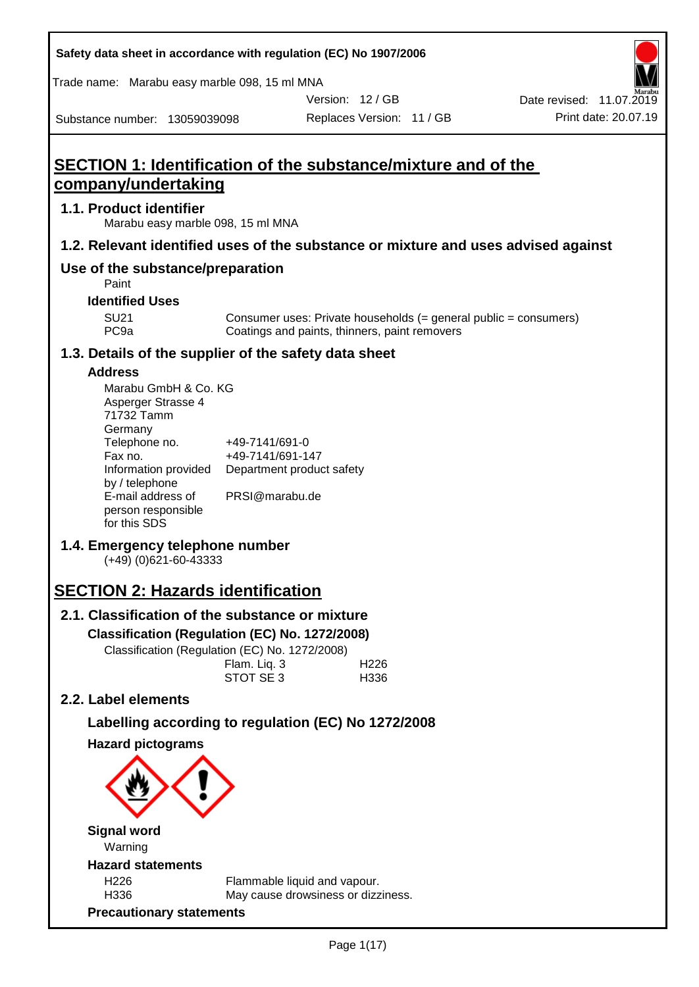| Safety data sheet in accordance with regulation (EC) No 1907/2006                                                                                                                                                                                                                                                                                                                                                                                                                       |                                                                                                   |                                                                    |                                                                  |
|-----------------------------------------------------------------------------------------------------------------------------------------------------------------------------------------------------------------------------------------------------------------------------------------------------------------------------------------------------------------------------------------------------------------------------------------------------------------------------------------|---------------------------------------------------------------------------------------------------|--------------------------------------------------------------------|------------------------------------------------------------------|
| Trade name: Marabu easy marble 098, 15 ml MNA                                                                                                                                                                                                                                                                                                                                                                                                                                           |                                                                                                   |                                                                    |                                                                  |
|                                                                                                                                                                                                                                                                                                                                                                                                                                                                                         |                                                                                                   | Version: 12/GB                                                     | Date revised: 11.07.2019                                         |
| Substance number: 13059039098                                                                                                                                                                                                                                                                                                                                                                                                                                                           |                                                                                                   | Replaces Version: 11 / GB                                          | Print date: 20.07.19                                             |
| <b>SECTION 1: Identification of the substance/mixture and of the</b><br>company/undertaking                                                                                                                                                                                                                                                                                                                                                                                             |                                                                                                   |                                                                    |                                                                  |
| 1.1. Product identifier<br>Marabu easy marble 098, 15 ml MNA                                                                                                                                                                                                                                                                                                                                                                                                                            |                                                                                                   |                                                                    |                                                                  |
| 1.2. Relevant identified uses of the substance or mixture and uses advised against                                                                                                                                                                                                                                                                                                                                                                                                      |                                                                                                   |                                                                    |                                                                  |
| Use of the substance/preparation<br>Paint                                                                                                                                                                                                                                                                                                                                                                                                                                               |                                                                                                   |                                                                    |                                                                  |
| <b>Identified Uses</b>                                                                                                                                                                                                                                                                                                                                                                                                                                                                  |                                                                                                   |                                                                    |                                                                  |
| <b>SU21</b><br>PC <sub>9a</sub>                                                                                                                                                                                                                                                                                                                                                                                                                                                         |                                                                                                   | Coatings and paints, thinners, paint removers                      | Consumer uses: Private households (= general public = consumers) |
| 1.3. Details of the supplier of the safety data sheet                                                                                                                                                                                                                                                                                                                                                                                                                                   |                                                                                                   |                                                                    |                                                                  |
| <b>Address</b><br>Marabu GmbH & Co. KG<br>Asperger Strasse 4<br>71732 Tamm<br>Germany<br>Telephone no.<br>Fax no.<br>Information provided<br>by / telephone<br>E-mail address of<br>person responsible<br>for this SDS<br>1.4. Emergency telephone number<br>$(+49)$ (0)621-60-43333<br><b>SECTION 2: Hazards identification</b><br>2.1. Classification of the substance or mixture<br>Classification (Regulation (EC) No. 1272/2008)<br>Classification (Regulation (EC) No. 1272/2008) | +49-7141/691-0<br>+49-7141/691-147<br>Department product safety<br>PRSI@marabu.de<br>Flam. Liq. 3 | H <sub>226</sub>                                                   |                                                                  |
| 2.2. Label elements                                                                                                                                                                                                                                                                                                                                                                                                                                                                     | STOT SE 3                                                                                         | H336                                                               |                                                                  |
|                                                                                                                                                                                                                                                                                                                                                                                                                                                                                         |                                                                                                   |                                                                    |                                                                  |
| Labelling according to regulation (EC) No 1272/2008<br><b>Hazard pictograms</b>                                                                                                                                                                                                                                                                                                                                                                                                         |                                                                                                   |                                                                    |                                                                  |
| <b>Signal word</b><br>Warning                                                                                                                                                                                                                                                                                                                                                                                                                                                           |                                                                                                   |                                                                    |                                                                  |
| <b>Hazard statements</b>                                                                                                                                                                                                                                                                                                                                                                                                                                                                |                                                                                                   |                                                                    |                                                                  |
| H226<br>H336                                                                                                                                                                                                                                                                                                                                                                                                                                                                            |                                                                                                   | Flammable liquid and vapour.<br>May cause drowsiness or dizziness. |                                                                  |
| <b>Precautionary statements</b>                                                                                                                                                                                                                                                                                                                                                                                                                                                         |                                                                                                   |                                                                    |                                                                  |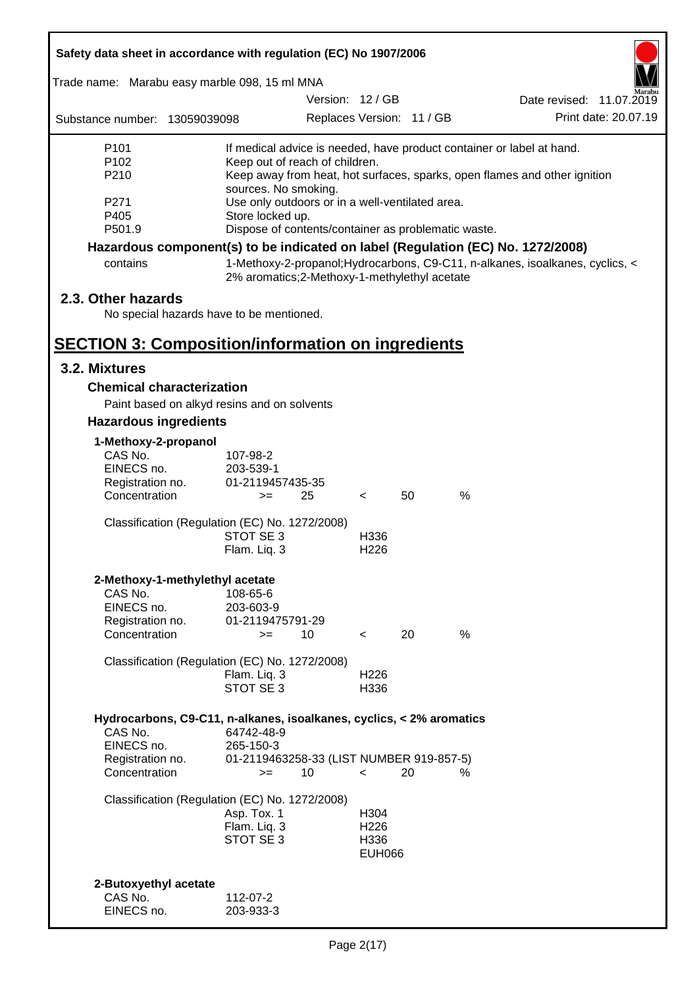| Safety data sheet in accordance with regulation (EC) No 1907/2006               |                                                                                                   |                           |    |      |                                                                               |  |  |
|---------------------------------------------------------------------------------|---------------------------------------------------------------------------------------------------|---------------------------|----|------|-------------------------------------------------------------------------------|--|--|
| Trade name: Marabu easy marble 098, 15 ml MNA                                   |                                                                                                   |                           |    |      |                                                                               |  |  |
|                                                                                 |                                                                                                   | Version: 12 / GB          |    |      | Date revised: 11.07.2019                                                      |  |  |
| Substance number: 13059039098                                                   |                                                                                                   | Replaces Version: 11 / GB |    |      | Print date: 20.07.19                                                          |  |  |
| P <sub>101</sub>                                                                | If medical advice is needed, have product container or label at hand.                             |                           |    |      |                                                                               |  |  |
| P <sub>102</sub>                                                                | Keep out of reach of children.                                                                    |                           |    |      |                                                                               |  |  |
| P210                                                                            | Keep away from heat, hot surfaces, sparks, open flames and other ignition<br>sources. No smoking. |                           |    |      |                                                                               |  |  |
| P271                                                                            | Use only outdoors or in a well-ventilated area.                                                   |                           |    |      |                                                                               |  |  |
| P405                                                                            | Store locked up.                                                                                  |                           |    |      |                                                                               |  |  |
| P501.9                                                                          | Dispose of contents/container as problematic waste.                                               |                           |    |      |                                                                               |  |  |
| Hazardous component(s) to be indicated on label (Regulation (EC) No. 1272/2008) |                                                                                                   |                           |    |      |                                                                               |  |  |
| contains                                                                        | 2% aromatics; 2-Methoxy-1-methylethyl acetate                                                     |                           |    |      | 1-Methoxy-2-propanol; Hydrocarbons, C9-C11, n-alkanes, isoalkanes, cyclics, < |  |  |
| 2.3. Other hazards                                                              |                                                                                                   |                           |    |      |                                                                               |  |  |
| No special hazards have to be mentioned.                                        |                                                                                                   |                           |    |      |                                                                               |  |  |
|                                                                                 |                                                                                                   |                           |    |      |                                                                               |  |  |
| <b>SECTION 3: Composition/information on ingredients</b>                        |                                                                                                   |                           |    |      |                                                                               |  |  |
| 3.2. Mixtures                                                                   |                                                                                                   |                           |    |      |                                                                               |  |  |
| <b>Chemical characterization</b>                                                |                                                                                                   |                           |    |      |                                                                               |  |  |
|                                                                                 | Paint based on alkyd resins and on solvents                                                       |                           |    |      |                                                                               |  |  |
| <b>Hazardous ingredients</b>                                                    |                                                                                                   |                           |    |      |                                                                               |  |  |
| 1-Methoxy-2-propanol                                                            |                                                                                                   |                           |    |      |                                                                               |  |  |
| CAS No.                                                                         | 107-98-2                                                                                          |                           |    |      |                                                                               |  |  |
| EINECS no.                                                                      | 203-539-1                                                                                         |                           |    |      |                                                                               |  |  |
| Registration no.                                                                | 01-2119457435-35                                                                                  |                           |    |      |                                                                               |  |  |
| Concentration                                                                   | 25<br>$>=$                                                                                        | $\overline{\phantom{a}}$  | 50 | $\%$ |                                                                               |  |  |
|                                                                                 | Classification (Regulation (EC) No. 1272/2008)                                                    |                           |    |      |                                                                               |  |  |
|                                                                                 | STOT SE 3                                                                                         | H336                      |    |      |                                                                               |  |  |
|                                                                                 | Flam. Liq. 3                                                                                      | H <sub>226</sub>          |    |      |                                                                               |  |  |
| 2-Methoxy-1-methylethyl acetate                                                 |                                                                                                   |                           |    |      |                                                                               |  |  |
| CAS No.                                                                         | 108-65-6                                                                                          |                           |    |      |                                                                               |  |  |
| EINECS no.                                                                      | 203-603-9                                                                                         |                           |    |      |                                                                               |  |  |
| Registration no.                                                                | 01-2119475791-29                                                                                  |                           |    |      |                                                                               |  |  |
| Concentration                                                                   | 10<br>$>=$                                                                                        | $\overline{\phantom{a}}$  | 20 | %    |                                                                               |  |  |
|                                                                                 | Classification (Regulation (EC) No. 1272/2008)                                                    |                           |    |      |                                                                               |  |  |
|                                                                                 | Flam. Liq. 3                                                                                      | H <sub>226</sub>          |    |      |                                                                               |  |  |
|                                                                                 | STOT SE 3                                                                                         | H336                      |    |      |                                                                               |  |  |
|                                                                                 |                                                                                                   |                           |    |      |                                                                               |  |  |
|                                                                                 | Hydrocarbons, C9-C11, n-alkanes, isoalkanes, cyclics, < 2% aromatics                              |                           |    |      |                                                                               |  |  |
| CAS No.                                                                         | 64742-48-9                                                                                        |                           |    |      |                                                                               |  |  |
| EINECS no.<br>Registration no.                                                  | 265-150-3<br>01-2119463258-33 (LIST NUMBER 919-857-5)                                             |                           |    |      |                                                                               |  |  |
| Concentration                                                                   | 10<br>$>=$                                                                                        | $\,<\,$                   | 20 | %    |                                                                               |  |  |
|                                                                                 |                                                                                                   |                           |    |      |                                                                               |  |  |
|                                                                                 | Classification (Regulation (EC) No. 1272/2008)                                                    |                           |    |      |                                                                               |  |  |
|                                                                                 | Asp. Tox. 1                                                                                       | H304                      |    |      |                                                                               |  |  |
|                                                                                 | Flam. Liq. 3                                                                                      | H <sub>226</sub>          |    |      |                                                                               |  |  |
|                                                                                 | STOT SE 3                                                                                         | H336<br><b>EUH066</b>     |    |      |                                                                               |  |  |
|                                                                                 |                                                                                                   |                           |    |      |                                                                               |  |  |
| 2-Butoxyethyl acetate                                                           |                                                                                                   |                           |    |      |                                                                               |  |  |
| CAS No.                                                                         | 112-07-2                                                                                          |                           |    |      |                                                                               |  |  |
| EINECS no.                                                                      | 203-933-3                                                                                         |                           |    |      |                                                                               |  |  |
|                                                                                 |                                                                                                   |                           |    |      |                                                                               |  |  |

ī

Г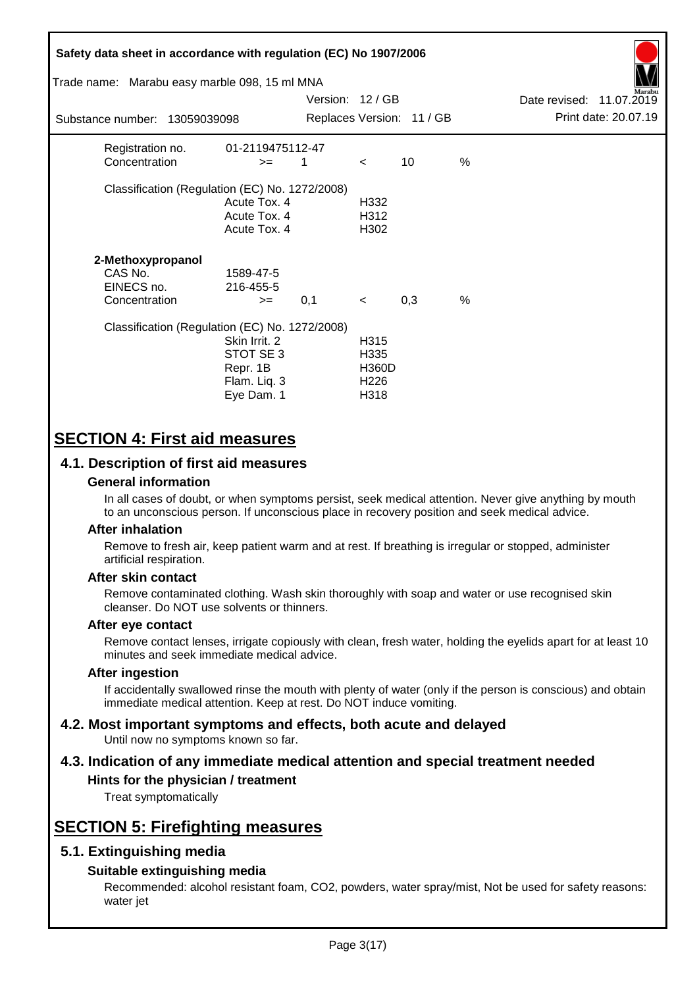| Safety data sheet in accordance with regulation (EC) No 1907/2006<br>Trade name: Marabu easy marble 098, 15 ml MNA |                                                                      | Version: 12 / GB |                                                                       |                           |               | Date revised: 11.07.2019 | Aarabu               |
|--------------------------------------------------------------------------------------------------------------------|----------------------------------------------------------------------|------------------|-----------------------------------------------------------------------|---------------------------|---------------|--------------------------|----------------------|
| Substance number: 13059039098                                                                                      |                                                                      |                  |                                                                       | Replaces Version: 11 / GB |               |                          | Print date: 20.07.19 |
| Registration no.<br>Concentration                                                                                  | 01-2119475112-47<br>$>=$                                             | 1                | $\lt$                                                                 | 10                        | $\frac{0}{0}$ |                          |                      |
| Classification (Regulation (EC) No. 1272/2008)                                                                     | Acute Tox. 4<br>Acute Tox. 4<br>Acute Tox. 4                         |                  | H332<br>H312<br>H302                                                  |                           |               |                          |                      |
| 2-Methoxypropanol<br>CAS No.<br>EINECS no.<br>Concentration                                                        | 1589-47-5<br>216-455-5<br>$>=$                                       | 0,1              | $\prec$                                                               | 0,3                       | $\%$          |                          |                      |
| Classification (Regulation (EC) No. 1272/2008)                                                                     | Skin Irrit, 2<br>STOT SE 3<br>Repr. 1B<br>Flam. Liq. 3<br>Eye Dam. 1 |                  | H <sub>3</sub> 15<br>H335<br><b>H360D</b><br>H <sub>226</sub><br>H318 |                           |               |                          |                      |

# **SECTION 4: First aid measures**

## **4.1. Description of first aid measures**

## **General information**

In all cases of doubt, or when symptoms persist, seek medical attention. Never give anything by mouth to an unconscious person. If unconscious place in recovery position and seek medical advice.

## **After inhalation**

Remove to fresh air, keep patient warm and at rest. If breathing is irregular or stopped, administer artificial respiration.

## **After skin contact**

Remove contaminated clothing. Wash skin thoroughly with soap and water or use recognised skin cleanser. Do NOT use solvents or thinners.

## **After eye contact**

Remove contact lenses, irrigate copiously with clean, fresh water, holding the eyelids apart for at least 10 minutes and seek immediate medical advice.

#### **After ingestion**

If accidentally swallowed rinse the mouth with plenty of water (only if the person is conscious) and obtain immediate medical attention. Keep at rest. Do NOT induce vomiting.

#### **4.2. Most important symptoms and effects, both acute and delayed** Until now no symptoms known so far.

# **4.3. Indication of any immediate medical attention and special treatment needed**

## **Hints for the physician / treatment**

Treat symptomatically

# **SECTION 5: Firefighting measures**

## **5.1. Extinguishing media**

## **Suitable extinguishing media**

Recommended: alcohol resistant foam, CO2, powders, water spray/mist, Not be used for safety reasons: water jet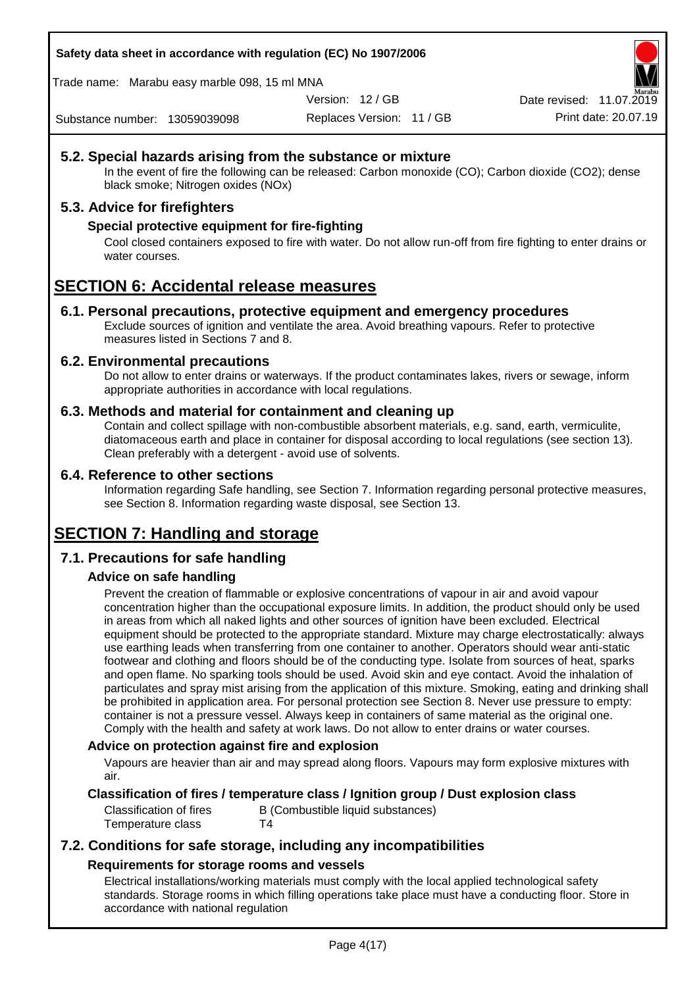**Safety data sheet in accordance with regulation (EC) No 1907/2006**

Trade name: Marabu easy marble 098, 15 ml MNA

Version: 12 / GB

Replaces Version: 11 / GB Print date: 20.07.19 Date revised: 11.07.2019

Substance number: 13059039098

## **5.2. Special hazards arising from the substance or mixture**

In the event of fire the following can be released: Carbon monoxide (CO); Carbon dioxide (CO2); dense black smoke; Nitrogen oxides (NOx)

## **5.3. Advice for firefighters**

## **Special protective equipment for fire-fighting**

Cool closed containers exposed to fire with water. Do not allow run-off from fire fighting to enter drains or water courses.

# **SECTION 6: Accidental release measures**

## **6.1. Personal precautions, protective equipment and emergency procedures**

Exclude sources of ignition and ventilate the area. Avoid breathing vapours. Refer to protective measures listed in Sections 7 and 8.

## **6.2. Environmental precautions**

Do not allow to enter drains or waterways. If the product contaminates lakes, rivers or sewage, inform appropriate authorities in accordance with local regulations.

## **6.3. Methods and material for containment and cleaning up**

Contain and collect spillage with non-combustible absorbent materials, e.g. sand, earth, vermiculite, diatomaceous earth and place in container for disposal according to local regulations (see section 13). Clean preferably with a detergent - avoid use of solvents.

#### **6.4. Reference to other sections**

Information regarding Safe handling, see Section 7. Information regarding personal protective measures, see Section 8. Information regarding waste disposal, see Section 13.

# **SECTION 7: Handling and storage**

## **7.1. Precautions for safe handling**

## **Advice on safe handling**

Prevent the creation of flammable or explosive concentrations of vapour in air and avoid vapour concentration higher than the occupational exposure limits. In addition, the product should only be used in areas from which all naked lights and other sources of ignition have been excluded. Electrical equipment should be protected to the appropriate standard. Mixture may charge electrostatically: always use earthing leads when transferring from one container to another. Operators should wear anti-static footwear and clothing and floors should be of the conducting type. Isolate from sources of heat, sparks and open flame. No sparking tools should be used. Avoid skin and eye contact. Avoid the inhalation of particulates and spray mist arising from the application of this mixture. Smoking, eating and drinking shall be prohibited in application area. For personal protection see Section 8. Never use pressure to empty: container is not a pressure vessel. Always keep in containers of same material as the original one. Comply with the health and safety at work laws. Do not allow to enter drains or water courses.

## **Advice on protection against fire and explosion**

Vapours are heavier than air and may spread along floors. Vapours may form explosive mixtures with air.

## **Classification of fires / temperature class / Ignition group / Dust explosion class**

Classification of fires B (Combustible liquid substances) Temperature class T4

## **7.2. Conditions for safe storage, including any incompatibilities Requirements for storage rooms and vessels**

Electrical installations/working materials must comply with the local applied technological safety standards. Storage rooms in which filling operations take place must have a conducting floor. Store in accordance with national regulation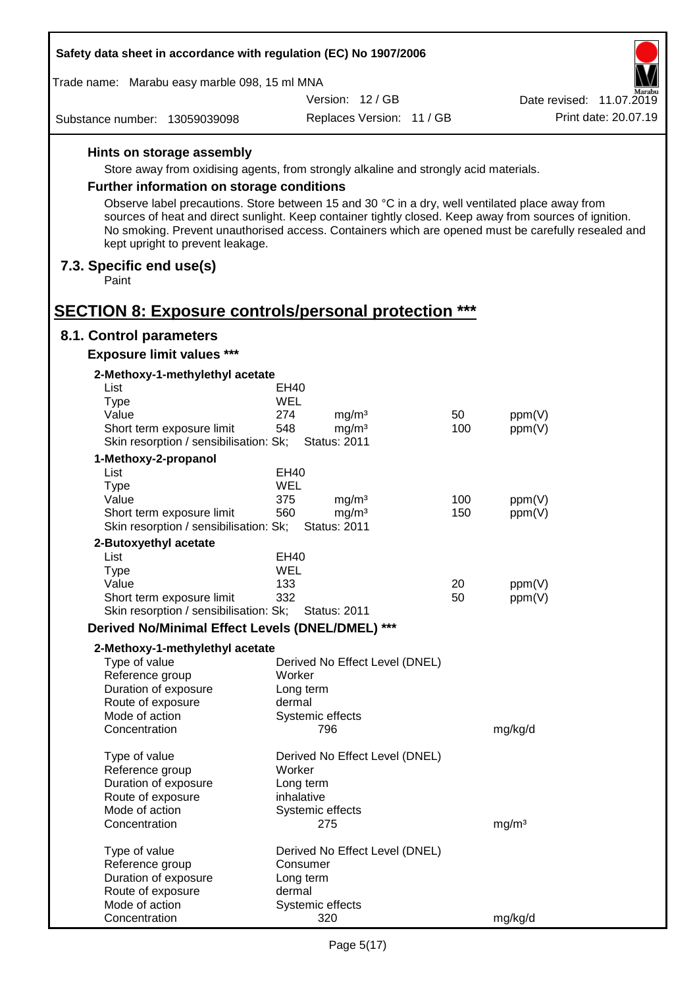| Safety data sheet in accordance with regulation (EC) No 1907/2006                                                                   |                    |                                          |     |                                                                                                                                                                                                                |  |
|-------------------------------------------------------------------------------------------------------------------------------------|--------------------|------------------------------------------|-----|----------------------------------------------------------------------------------------------------------------------------------------------------------------------------------------------------------------|--|
| Trade name: Marabu easy marble 098, 15 ml MNA                                                                                       |                    |                                          |     |                                                                                                                                                                                                                |  |
|                                                                                                                                     |                    | Version: 12 / GB                         |     | farabu<br>Date revised: 11.07.2019                                                                                                                                                                             |  |
| Substance number: 13059039098                                                                                                       |                    | Replaces Version: 11 / GB                |     | Print date: 20.07.19                                                                                                                                                                                           |  |
| Hints on storage assembly                                                                                                           |                    |                                          |     |                                                                                                                                                                                                                |  |
| Store away from oxidising agents, from strongly alkaline and strongly acid materials.                                               |                    |                                          |     |                                                                                                                                                                                                                |  |
|                                                                                                                                     |                    |                                          |     |                                                                                                                                                                                                                |  |
| <b>Further information on storage conditions</b>                                                                                    |                    |                                          |     |                                                                                                                                                                                                                |  |
| Observe label precautions. Store between 15 and 30 °C in a dry, well ventilated place away from<br>kept upright to prevent leakage. |                    |                                          |     | sources of heat and direct sunlight. Keep container tightly closed. Keep away from sources of ignition.<br>No smoking. Prevent unauthorised access. Containers which are opened must be carefully resealed and |  |
| 7.3. Specific end use(s)<br>Paint                                                                                                   |                    |                                          |     |                                                                                                                                                                                                                |  |
| <b>SECTION 8: Exposure controls/personal protection ***</b>                                                                         |                    |                                          |     |                                                                                                                                                                                                                |  |
| 8.1. Control parameters                                                                                                             |                    |                                          |     |                                                                                                                                                                                                                |  |
| <b>Exposure limit values ***</b>                                                                                                    |                    |                                          |     |                                                                                                                                                                                                                |  |
| 2-Methoxy-1-methylethyl acetate                                                                                                     |                    |                                          |     |                                                                                                                                                                                                                |  |
| List                                                                                                                                | EH40<br><b>WEL</b> |                                          |     |                                                                                                                                                                                                                |  |
| <b>Type</b><br>Value                                                                                                                | 274                | mg/m <sup>3</sup>                        | 50  | ppm(V)                                                                                                                                                                                                         |  |
| Short term exposure limit                                                                                                           | 548                | mg/m <sup>3</sup>                        | 100 | ppm(V)                                                                                                                                                                                                         |  |
| Skin resorption / sensibilisation: Sk;                                                                                              |                    | <b>Status: 2011</b>                      |     |                                                                                                                                                                                                                |  |
| 1-Methoxy-2-propanol                                                                                                                |                    |                                          |     |                                                                                                                                                                                                                |  |
| List                                                                                                                                | EH40               |                                          |     |                                                                                                                                                                                                                |  |
| <b>Type</b>                                                                                                                         | WEL                |                                          |     |                                                                                                                                                                                                                |  |
| Value                                                                                                                               | 375                | mg/m <sup>3</sup>                        | 100 | ppm(V)                                                                                                                                                                                                         |  |
| Short term exposure limit<br>Skin resorption / sensibilisation: Sk;                                                                 | 560                | mg/m <sup>3</sup><br><b>Status: 2011</b> | 150 | ppm(V)                                                                                                                                                                                                         |  |
| 2-Butoxyethyl acetate                                                                                                               |                    |                                          |     |                                                                                                                                                                                                                |  |
| List                                                                                                                                | EH40               |                                          |     |                                                                                                                                                                                                                |  |
| Type                                                                                                                                | WEL                |                                          |     |                                                                                                                                                                                                                |  |
| Value                                                                                                                               | 133                |                                          | 20  | ppm(V)                                                                                                                                                                                                         |  |
| Short term exposure limit                                                                                                           | 332                |                                          | 50  | ppm(V)                                                                                                                                                                                                         |  |
| Skin resorption / sensibilisation: Sk;                                                                                              |                    | <b>Status: 2011</b>                      |     |                                                                                                                                                                                                                |  |
| Derived No/Minimal Effect Levels (DNEL/DMEL) ***                                                                                    |                    |                                          |     |                                                                                                                                                                                                                |  |
| 2-Methoxy-1-methylethyl acetate                                                                                                     |                    |                                          |     |                                                                                                                                                                                                                |  |
| Type of value                                                                                                                       |                    | Derived No Effect Level (DNEL)           |     |                                                                                                                                                                                                                |  |
| Reference group                                                                                                                     | Worker             |                                          |     |                                                                                                                                                                                                                |  |
| Duration of exposure                                                                                                                | dermal             | Long term                                |     |                                                                                                                                                                                                                |  |
| Route of exposure<br>Mode of action                                                                                                 |                    | Systemic effects                         |     |                                                                                                                                                                                                                |  |
| Concentration                                                                                                                       |                    | 796                                      |     | mg/kg/d                                                                                                                                                                                                        |  |
| Type of value                                                                                                                       |                    | Derived No Effect Level (DNEL)           |     |                                                                                                                                                                                                                |  |
| Reference group                                                                                                                     | Worker             |                                          |     |                                                                                                                                                                                                                |  |
| Duration of exposure                                                                                                                |                    | Long term                                |     |                                                                                                                                                                                                                |  |
| Route of exposure                                                                                                                   |                    | inhalative                               |     |                                                                                                                                                                                                                |  |
| Mode of action<br>Concentration                                                                                                     |                    | Systemic effects<br>275                  |     | mg/m <sup>3</sup>                                                                                                                                                                                              |  |
|                                                                                                                                     |                    |                                          |     |                                                                                                                                                                                                                |  |
| Type of value                                                                                                                       |                    | Derived No Effect Level (DNEL)           |     |                                                                                                                                                                                                                |  |
| Reference group                                                                                                                     |                    | Consumer                                 |     |                                                                                                                                                                                                                |  |
| Duration of exposure<br>Route of exposure                                                                                           | dermal             | Long term                                |     |                                                                                                                                                                                                                |  |
| Mode of action                                                                                                                      |                    | Systemic effects                         |     |                                                                                                                                                                                                                |  |
| Concentration                                                                                                                       |                    | 320                                      |     | mg/kg/d                                                                                                                                                                                                        |  |

 $\Gamma$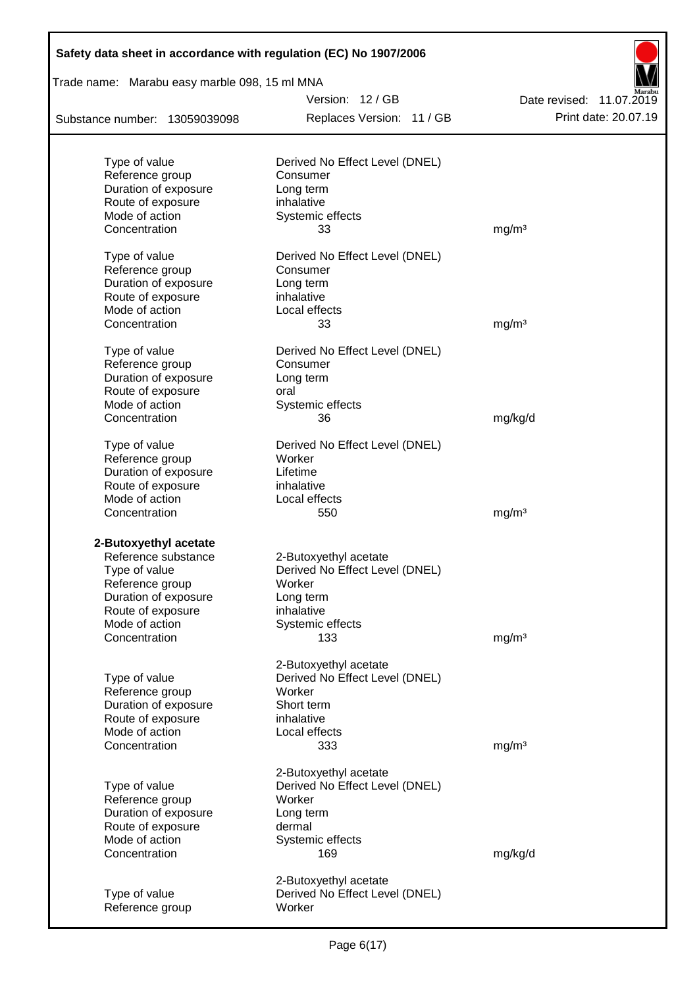| Safety data sheet in accordance with regulation (EC) No 1907/2006 |                                            |                          |
|-------------------------------------------------------------------|--------------------------------------------|--------------------------|
| Trade name: Marabu easy marble 098, 15 ml MNA                     |                                            |                          |
|                                                                   | Version: 12 / GB                           | Date revised: 11.07.2019 |
| Substance number: 13059039098                                     | Replaces Version: 11 / GB                  | Print date: 20.07.19     |
|                                                                   |                                            |                          |
| Type of value<br>Reference group                                  | Derived No Effect Level (DNEL)<br>Consumer |                          |
| Duration of exposure                                              | Long term                                  |                          |
| Route of exposure                                                 | inhalative                                 |                          |
| Mode of action                                                    | Systemic effects                           |                          |
| Concentration                                                     | 33                                         | mg/m <sup>3</sup>        |
| Type of value                                                     | Derived No Effect Level (DNEL)             |                          |
| Reference group                                                   | Consumer                                   |                          |
| Duration of exposure                                              | Long term                                  |                          |
| Route of exposure                                                 | inhalative                                 |                          |
| Mode of action                                                    | Local effects                              |                          |
| Concentration                                                     | 33                                         | mg/m <sup>3</sup>        |
|                                                                   |                                            |                          |
| Type of value                                                     | Derived No Effect Level (DNEL)             |                          |
| Reference group                                                   | Consumer                                   |                          |
| Duration of exposure                                              | Long term                                  |                          |
| Route of exposure                                                 | oral                                       |                          |
| Mode of action                                                    | Systemic effects                           |                          |
| Concentration                                                     | 36                                         | mg/kg/d                  |
| Type of value                                                     | Derived No Effect Level (DNEL)             |                          |
| Reference group                                                   | Worker                                     |                          |
| Duration of exposure                                              | Lifetime                                   |                          |
| Route of exposure                                                 | inhalative                                 |                          |
| Mode of action                                                    | Local effects                              |                          |
| Concentration                                                     | 550                                        | mg/m <sup>3</sup>        |
| 2-Butoxyethyl acetate                                             |                                            |                          |
| Reference substance                                               | 2-Butoxyethyl acetate                      |                          |
| Type of value                                                     | Derived No Effect Level (DNEL)             |                          |
| Reference group                                                   | Worker                                     |                          |
| Duration of exposure                                              | Long term                                  |                          |
| Route of exposure                                                 | inhalative                                 |                          |
| Mode of action                                                    | Systemic effects                           |                          |
| Concentration                                                     | 133                                        | mg/m <sup>3</sup>        |
|                                                                   |                                            |                          |
|                                                                   | 2-Butoxyethyl acetate                      |                          |
| Type of value                                                     | Derived No Effect Level (DNEL)             |                          |
| Reference group                                                   | Worker                                     |                          |
| Duration of exposure                                              | Short term                                 |                          |
| Route of exposure                                                 | inhalative                                 |                          |
| Mode of action                                                    | Local effects                              |                          |
| Concentration                                                     | 333                                        | mg/m <sup>3</sup>        |
|                                                                   | 2-Butoxyethyl acetate                      |                          |
| Type of value                                                     | Derived No Effect Level (DNEL)             |                          |
| Reference group                                                   | Worker                                     |                          |
| Duration of exposure                                              | Long term                                  |                          |
| Route of exposure                                                 | dermal                                     |                          |
| Mode of action                                                    | Systemic effects                           |                          |
| Concentration                                                     | 169                                        | mg/kg/d                  |
|                                                                   | 2-Butoxyethyl acetate                      |                          |
| Type of value                                                     | Derived No Effect Level (DNEL)             |                          |
| Reference group                                                   | Worker                                     |                          |
|                                                                   |                                            |                          |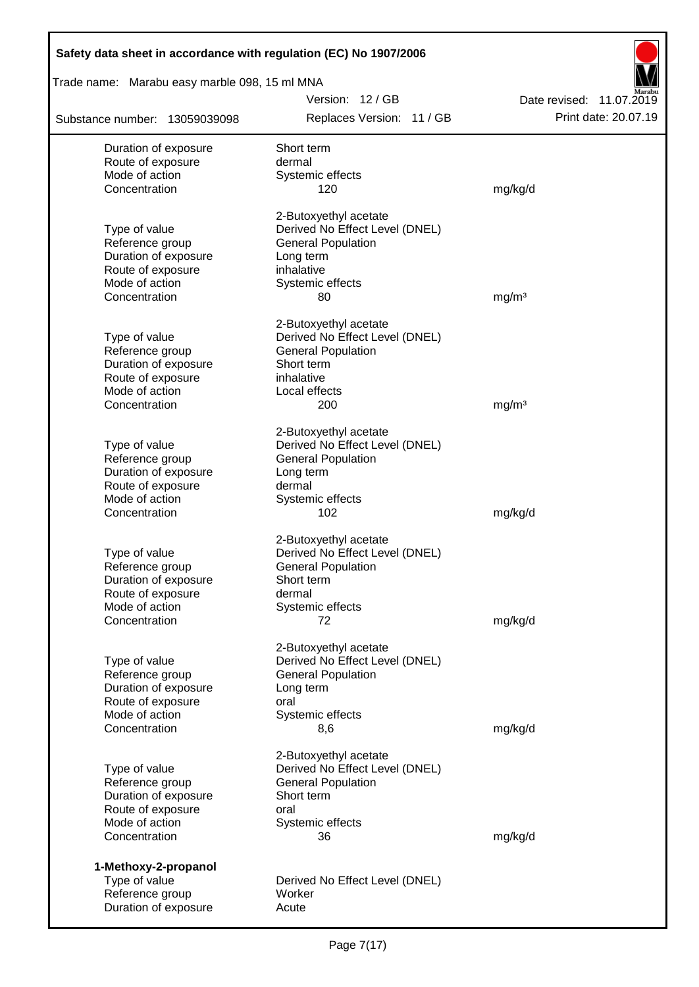| Safety data sheet in accordance with regulation (EC) No 1907/2006 |                                                             |                          |
|-------------------------------------------------------------------|-------------------------------------------------------------|--------------------------|
| Trade name: Marabu easy marble 098, 15 ml MNA                     |                                                             |                          |
|                                                                   | Version: 12 / GB                                            | Date revised: 11.07.2019 |
| Substance number: 13059039098                                     | Replaces Version: 11 / GB                                   | Print date: 20.07.19     |
| Duration of exposure                                              | Short term                                                  |                          |
| Route of exposure                                                 | dermal                                                      |                          |
| Mode of action                                                    | Systemic effects                                            |                          |
| Concentration                                                     | 120                                                         | mg/kg/d                  |
|                                                                   | 2-Butoxyethyl acetate                                       |                          |
| Type of value                                                     | Derived No Effect Level (DNEL)                              |                          |
| Reference group                                                   | <b>General Population</b>                                   |                          |
| Duration of exposure                                              | Long term                                                   |                          |
| Route of exposure<br>Mode of action                               | inhalative                                                  |                          |
| Concentration                                                     | Systemic effects<br>80                                      | mg/m <sup>3</sup>        |
|                                                                   |                                                             |                          |
|                                                                   | 2-Butoxyethyl acetate                                       |                          |
| Type of value                                                     | Derived No Effect Level (DNEL)                              |                          |
| Reference group                                                   | <b>General Population</b>                                   |                          |
| Duration of exposure                                              | Short term                                                  |                          |
| Route of exposure                                                 | inhalative                                                  |                          |
| Mode of action                                                    | Local effects                                               |                          |
| Concentration                                                     | 200                                                         | mg/m <sup>3</sup>        |
|                                                                   | 2-Butoxyethyl acetate                                       |                          |
| Type of value                                                     | Derived No Effect Level (DNEL)                              |                          |
| Reference group                                                   | <b>General Population</b>                                   |                          |
| Duration of exposure                                              | Long term                                                   |                          |
| Route of exposure                                                 | dermal                                                      |                          |
| Mode of action<br>Concentration                                   | Systemic effects<br>102                                     | mg/kg/d                  |
|                                                                   |                                                             |                          |
|                                                                   | 2-Butoxyethyl acetate                                       |                          |
| Type of value<br>Reference group                                  | Derived No Effect Level (DNEL)<br><b>General Population</b> |                          |
| Duration of exposure                                              | Short term                                                  |                          |
| Route of exposure                                                 | dermal                                                      |                          |
| Mode of action                                                    | Systemic effects                                            |                          |
| Concentration                                                     | 72                                                          | mg/kg/d                  |
|                                                                   |                                                             |                          |
|                                                                   | 2-Butoxyethyl acetate                                       |                          |
| Type of value                                                     | Derived No Effect Level (DNEL)                              |                          |
| Reference group                                                   | <b>General Population</b>                                   |                          |
| Duration of exposure<br>Route of exposure                         | Long term<br>oral                                           |                          |
| Mode of action                                                    | Systemic effects                                            |                          |
| Concentration                                                     | 8,6                                                         | mg/kg/d                  |
|                                                                   | 2-Butoxyethyl acetate                                       |                          |
| Type of value                                                     | Derived No Effect Level (DNEL)                              |                          |
| Reference group                                                   | <b>General Population</b>                                   |                          |
| Duration of exposure                                              | Short term                                                  |                          |
| Route of exposure                                                 | oral                                                        |                          |
| Mode of action                                                    | Systemic effects                                            |                          |
| Concentration                                                     | 36                                                          | mg/kg/d                  |
| 1-Methoxy-2-propanol                                              |                                                             |                          |
| Type of value                                                     | Derived No Effect Level (DNEL)                              |                          |
| Reference group                                                   | Worker                                                      |                          |
| Duration of exposure                                              | Acute                                                       |                          |
|                                                                   |                                                             |                          |

Г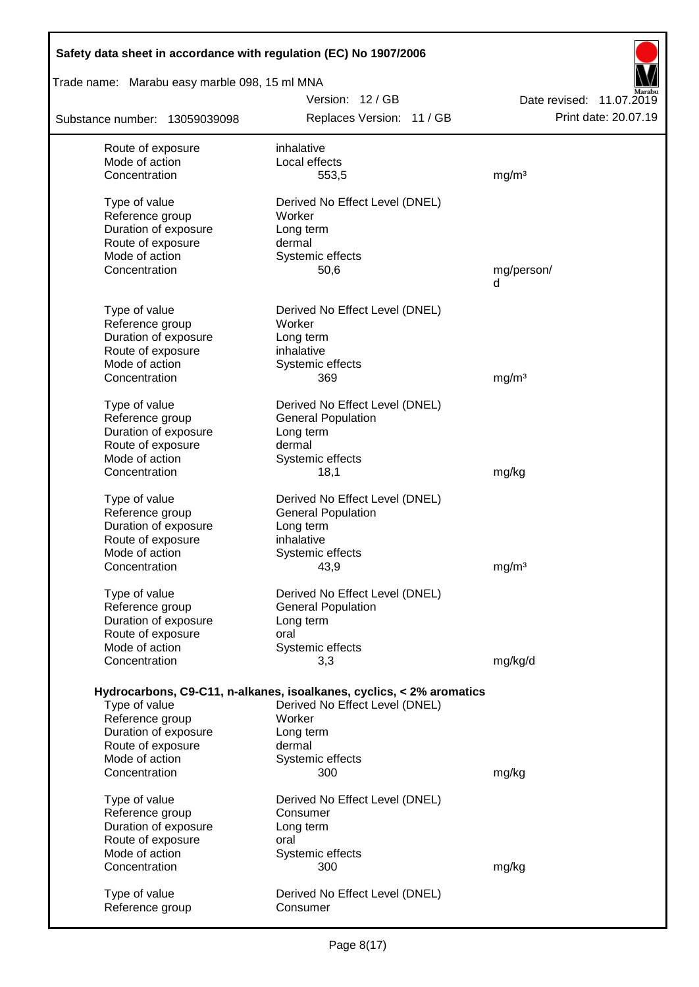| Safety data sheet in accordance with regulation (EC) No 1907/2006 |                                                                      |                          |
|-------------------------------------------------------------------|----------------------------------------------------------------------|--------------------------|
| Trade name: Marabu easy marble 098, 15 ml MNA                     |                                                                      |                          |
|                                                                   | Version: 12/GB                                                       | Date revised: 11.07.2019 |
| Substance number: 13059039098                                     | Replaces Version: 11 / GB                                            | Print date: 20.07.19     |
| Route of exposure                                                 | inhalative                                                           |                          |
| Mode of action                                                    | Local effects                                                        |                          |
| Concentration                                                     | 553,5                                                                | mg/m <sup>3</sup>        |
| Type of value                                                     | Derived No Effect Level (DNEL)                                       |                          |
| Reference group                                                   | Worker                                                               |                          |
| Duration of exposure                                              | Long term                                                            |                          |
| Route of exposure                                                 | dermal                                                               |                          |
| Mode of action<br>Concentration                                   | Systemic effects                                                     |                          |
|                                                                   | 50,6                                                                 | mg/person/<br>d          |
|                                                                   |                                                                      |                          |
| Type of value<br>Reference group                                  | Derived No Effect Level (DNEL)<br>Worker                             |                          |
| Duration of exposure                                              | Long term                                                            |                          |
| Route of exposure                                                 | inhalative                                                           |                          |
| Mode of action                                                    | Systemic effects                                                     |                          |
| Concentration                                                     | 369                                                                  | mg/m <sup>3</sup>        |
| Type of value                                                     | Derived No Effect Level (DNEL)                                       |                          |
| Reference group                                                   | <b>General Population</b>                                            |                          |
| Duration of exposure                                              | Long term                                                            |                          |
| Route of exposure                                                 | dermal                                                               |                          |
| Mode of action                                                    | Systemic effects                                                     |                          |
| Concentration                                                     | 18,1                                                                 | mg/kg                    |
| Type of value                                                     | Derived No Effect Level (DNEL)                                       |                          |
| Reference group                                                   | <b>General Population</b>                                            |                          |
| Duration of exposure                                              | Long term                                                            |                          |
| Route of exposure                                                 | inhalative                                                           |                          |
| Mode of action                                                    | Systemic effects                                                     |                          |
| Concentration                                                     | 43,9                                                                 | mg/m <sup>3</sup>        |
| Type of value                                                     | Derived No Effect Level (DNEL)                                       |                          |
| Reference group                                                   | <b>General Population</b>                                            |                          |
| Duration of exposure                                              | Long term                                                            |                          |
| Route of exposure                                                 | oral                                                                 |                          |
| Mode of action                                                    | Systemic effects                                                     |                          |
| Concentration                                                     | 3,3                                                                  | mg/kg/d                  |
|                                                                   | Hydrocarbons, C9-C11, n-alkanes, isoalkanes, cyclics, < 2% aromatics |                          |
| Type of value                                                     | Derived No Effect Level (DNEL)                                       |                          |
| Reference group                                                   | Worker                                                               |                          |
| Duration of exposure                                              | Long term                                                            |                          |
| Route of exposure                                                 | dermal                                                               |                          |
| Mode of action                                                    | Systemic effects                                                     |                          |
| Concentration                                                     | 300                                                                  | mg/kg                    |
| Type of value                                                     | Derived No Effect Level (DNEL)                                       |                          |
| Reference group                                                   | Consumer                                                             |                          |
| Duration of exposure                                              | Long term                                                            |                          |
| Route of exposure                                                 | oral                                                                 |                          |
| Mode of action                                                    | Systemic effects                                                     |                          |
| Concentration                                                     | 300                                                                  | mg/kg                    |
| Type of value                                                     | Derived No Effect Level (DNEL)                                       |                          |
| Reference group                                                   | Consumer                                                             |                          |
|                                                                   |                                                                      |                          |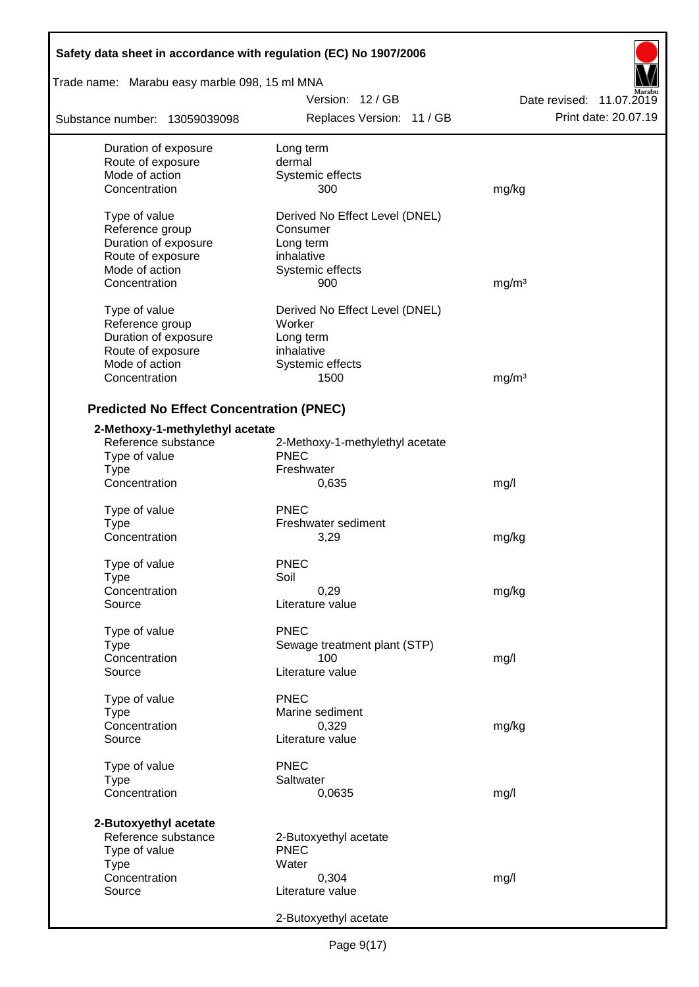| Safety data sheet in accordance with regulation (EC) No 1907/2006 |                                 |                          |  |  |  |  |
|-------------------------------------------------------------------|---------------------------------|--------------------------|--|--|--|--|
| Trade name: Marabu easy marble 098, 15 ml MNA                     |                                 |                          |  |  |  |  |
|                                                                   | Version: 12 / GB                | Date revised: 11.07.2019 |  |  |  |  |
| Substance number: 13059039098                                     | Replaces Version: 11 / GB       | Print date: 20.07.19     |  |  |  |  |
| Duration of exposure                                              | Long term                       |                          |  |  |  |  |
| Route of exposure                                                 | dermal                          |                          |  |  |  |  |
| Mode of action                                                    | Systemic effects                |                          |  |  |  |  |
| Concentration                                                     | 300                             | mg/kg                    |  |  |  |  |
| Type of value                                                     | Derived No Effect Level (DNEL)  |                          |  |  |  |  |
| Reference group                                                   | Consumer                        |                          |  |  |  |  |
| Duration of exposure                                              | Long term                       |                          |  |  |  |  |
| Route of exposure                                                 | inhalative                      |                          |  |  |  |  |
| Mode of action                                                    | Systemic effects                |                          |  |  |  |  |
| Concentration                                                     | 900                             | mg/m <sup>3</sup>        |  |  |  |  |
| Type of value                                                     | Derived No Effect Level (DNEL)  |                          |  |  |  |  |
| Reference group                                                   | Worker                          |                          |  |  |  |  |
| Duration of exposure                                              | Long term                       |                          |  |  |  |  |
| Route of exposure                                                 | inhalative                      |                          |  |  |  |  |
| Mode of action                                                    | Systemic effects                |                          |  |  |  |  |
| Concentration                                                     | 1500                            | mg/m <sup>3</sup>        |  |  |  |  |
| <b>Predicted No Effect Concentration (PNEC)</b>                   |                                 |                          |  |  |  |  |
| 2-Methoxy-1-methylethyl acetate                                   |                                 |                          |  |  |  |  |
| Reference substance                                               | 2-Methoxy-1-methylethyl acetate |                          |  |  |  |  |
| Type of value                                                     | <b>PNEC</b>                     |                          |  |  |  |  |
| <b>Type</b>                                                       | Freshwater                      |                          |  |  |  |  |
| Concentration                                                     | 0,635                           | mg/l                     |  |  |  |  |
| Type of value                                                     | <b>PNEC</b>                     |                          |  |  |  |  |
| <b>Type</b>                                                       | Freshwater sediment             |                          |  |  |  |  |
| Concentration                                                     | 3,29                            | mg/kg                    |  |  |  |  |
| Type of value                                                     | <b>PNEC</b>                     |                          |  |  |  |  |
| Type                                                              | Soil                            |                          |  |  |  |  |
| Concentration                                                     | 0,29                            | mg/kg                    |  |  |  |  |
| Source                                                            | Literature value                |                          |  |  |  |  |
|                                                                   | <b>PNEC</b>                     |                          |  |  |  |  |
| Type of value<br><b>Type</b>                                      | Sewage treatment plant (STP)    |                          |  |  |  |  |
| Concentration                                                     | 100                             | mg/l                     |  |  |  |  |
| Source                                                            | Literature value                |                          |  |  |  |  |
|                                                                   |                                 |                          |  |  |  |  |
| Type of value                                                     | <b>PNEC</b>                     |                          |  |  |  |  |
| <b>Type</b><br>Concentration                                      | Marine sediment<br>0,329        |                          |  |  |  |  |
| Source                                                            | Literature value                | mg/kg                    |  |  |  |  |
|                                                                   |                                 |                          |  |  |  |  |
| Type of value                                                     | <b>PNEC</b>                     |                          |  |  |  |  |
| <b>Type</b>                                                       | Saltwater                       |                          |  |  |  |  |
| Concentration                                                     | 0,0635                          | mg/l                     |  |  |  |  |
| 2-Butoxyethyl acetate                                             |                                 |                          |  |  |  |  |
| Reference substance                                               | 2-Butoxyethyl acetate           |                          |  |  |  |  |
| Type of value                                                     | <b>PNEC</b>                     |                          |  |  |  |  |
| <b>Type</b>                                                       | Water                           |                          |  |  |  |  |
| Concentration                                                     | 0,304                           | mg/l                     |  |  |  |  |
| Source                                                            | Literature value                |                          |  |  |  |  |
|                                                                   | 2-Butoxyethyl acetate           |                          |  |  |  |  |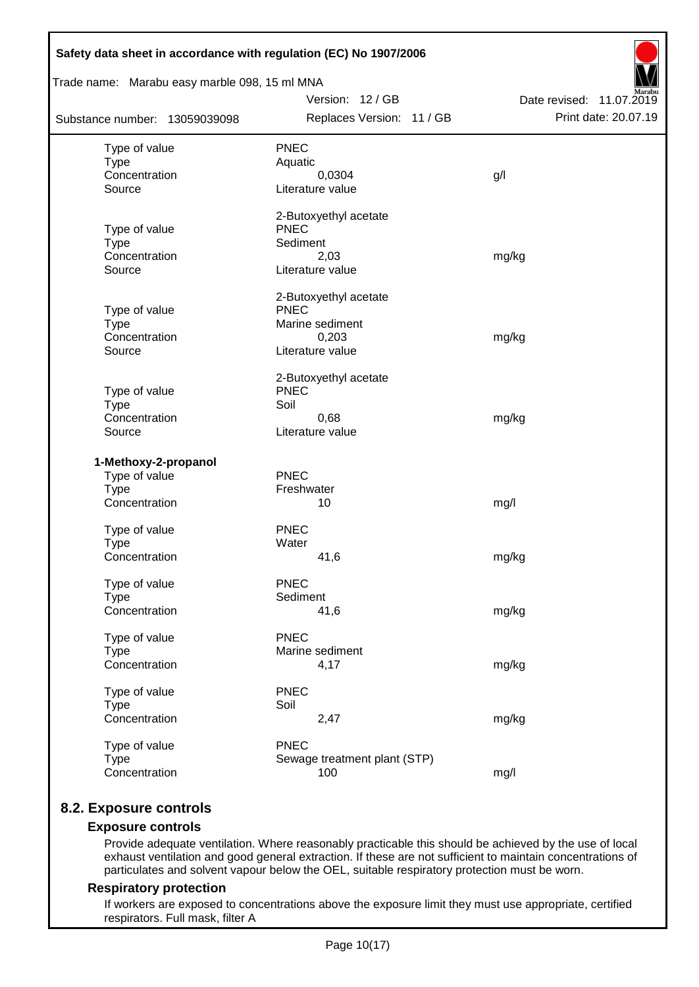| Trade name: Marabu easy marble 098, 15 ml MNA |                                      |                          |
|-----------------------------------------------|--------------------------------------|--------------------------|
|                                               | Version: 12 / GB                     | Date revised: 11.07.2019 |
| Substance number: 13059039098                 | Replaces Version: 11 / GB            | Print date: 20.07.19     |
| Type of value                                 | <b>PNEC</b>                          |                          |
| <b>Type</b>                                   | Aquatic                              |                          |
| Concentration                                 | 0,0304                               | g/l                      |
| Source                                        | Literature value                     |                          |
|                                               | 2-Butoxyethyl acetate                |                          |
| Type of value                                 | <b>PNEC</b>                          |                          |
| <b>Type</b>                                   | Sediment                             |                          |
| Concentration<br>Source                       | 2,03<br>Literature value             | mg/kg                    |
|                                               |                                      |                          |
|                                               | 2-Butoxyethyl acetate<br><b>PNEC</b> |                          |
| Type of value<br><b>Type</b>                  | Marine sediment                      |                          |
| Concentration                                 | 0,203                                | mg/kg                    |
| Source                                        | Literature value                     |                          |
|                                               | 2-Butoxyethyl acetate                |                          |
| Type of value                                 | <b>PNEC</b>                          |                          |
| <b>Type</b>                                   | Soil                                 |                          |
| Concentration                                 | 0,68                                 | mg/kg                    |
| Source                                        | Literature value                     |                          |
| 1-Methoxy-2-propanol                          |                                      |                          |
| Type of value                                 | <b>PNEC</b>                          |                          |
| <b>Type</b>                                   | Freshwater                           |                          |
| Concentration                                 | 10                                   | mg/l                     |
| Type of value                                 | <b>PNEC</b>                          |                          |
| <b>Type</b>                                   | Water                                |                          |
| Concentration                                 | 41,6                                 | mg/kg                    |
| Type of value                                 | <b>PNEC</b>                          |                          |
| <b>Type</b>                                   | Sediment                             |                          |
| Concentration                                 | 41,6                                 | mg/kg                    |
| Type of value                                 | <b>PNEC</b>                          |                          |
| <b>Type</b>                                   | Marine sediment                      |                          |
| Concentration                                 | 4,17                                 | mg/kg                    |
| Type of value                                 | <b>PNEC</b>                          |                          |
| <b>Type</b>                                   | Soil                                 |                          |
| Concentration                                 | 2,47                                 | mg/kg                    |
| Type of value                                 | <b>PNEC</b>                          |                          |
| <b>Type</b>                                   | Sewage treatment plant (STP)         |                          |
| Concentration                                 | 100                                  | mg/l                     |

## **8.2. Exposure controls**

## **Exposure controls**

Provide adequate ventilation. Where reasonably practicable this should be achieved by the use of local exhaust ventilation and good general extraction. If these are not sufficient to maintain concentrations of particulates and solvent vapour below the OEL, suitable respiratory protection must be worn.

#### **Respiratory protection**

If workers are exposed to concentrations above the exposure limit they must use appropriate, certified respirators. Full mask, filter A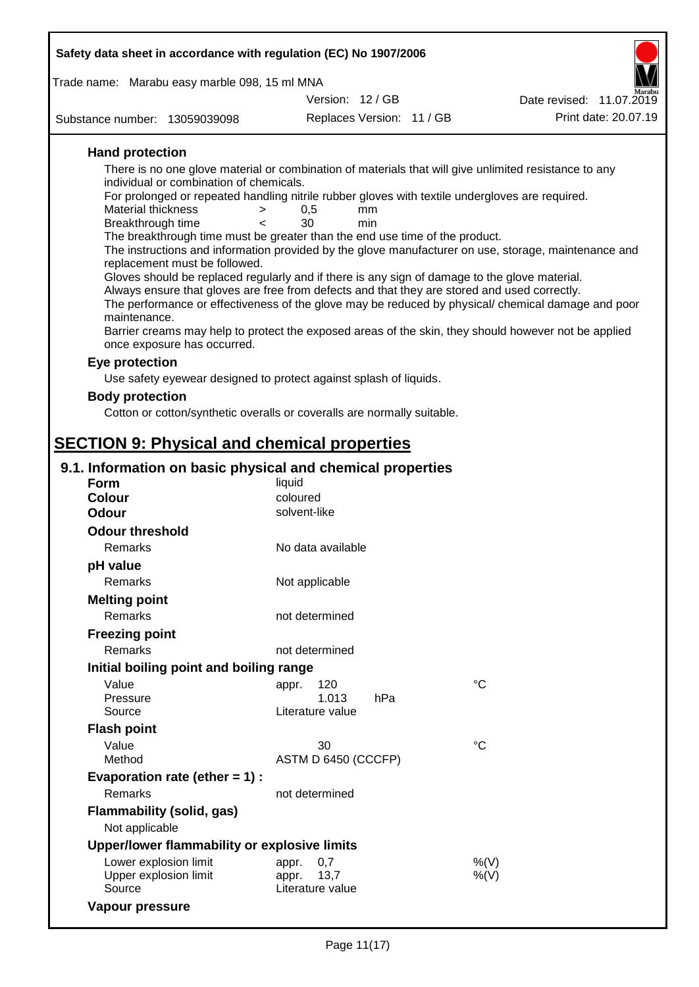| Safety data sheet in accordance with regulation (EC) No 1907/2006                                                                                                                             |                           |                           |                                                                                                      |  |  |  |
|-----------------------------------------------------------------------------------------------------------------------------------------------------------------------------------------------|---------------------------|---------------------------|------------------------------------------------------------------------------------------------------|--|--|--|
| Trade name: Marabu easy marble 098, 15 ml MNA                                                                                                                                                 |                           |                           |                                                                                                      |  |  |  |
|                                                                                                                                                                                               | Version: 12/GB            |                           | Date revised: 11.07.2019                                                                             |  |  |  |
| Substance number: 13059039098                                                                                                                                                                 |                           | Replaces Version: 11 / GB | Print date: 20.07.19                                                                                 |  |  |  |
|                                                                                                                                                                                               |                           |                           |                                                                                                      |  |  |  |
| <b>Hand protection</b>                                                                                                                                                                        |                           |                           |                                                                                                      |  |  |  |
| There is no one glove material or combination of materials that will give unlimited resistance to any<br>individual or combination of chemicals.                                              |                           |                           |                                                                                                      |  |  |  |
| For prolonged or repeated handling nitrile rubber gloves with textile undergloves are required.                                                                                               |                           |                           |                                                                                                      |  |  |  |
| <b>Material thickness</b>                                                                                                                                                                     | 0,5<br>>                  | mm                        |                                                                                                      |  |  |  |
| Breakthrough time<br>The breakthrough time must be greater than the end use time of the product.                                                                                              | 30<br>$\epsilon$          | min                       |                                                                                                      |  |  |  |
|                                                                                                                                                                                               |                           |                           | The instructions and information provided by the glove manufacturer on use, storage, maintenance and |  |  |  |
| replacement must be followed.                                                                                                                                                                 |                           |                           |                                                                                                      |  |  |  |
| Gloves should be replaced regularly and if there is any sign of damage to the glove material.<br>Always ensure that gloves are free from defects and that they are stored and used correctly. |                           |                           |                                                                                                      |  |  |  |
|                                                                                                                                                                                               |                           |                           | The performance or effectiveness of the glove may be reduced by physical/ chemical damage and poor   |  |  |  |
| maintenance.                                                                                                                                                                                  |                           |                           |                                                                                                      |  |  |  |
|                                                                                                                                                                                               |                           |                           | Barrier creams may help to protect the exposed areas of the skin, they should however not be applied |  |  |  |
| once exposure has occurred.                                                                                                                                                                   |                           |                           |                                                                                                      |  |  |  |
| Eye protection                                                                                                                                                                                |                           |                           |                                                                                                      |  |  |  |
| Use safety eyewear designed to protect against splash of liquids.                                                                                                                             |                           |                           |                                                                                                      |  |  |  |
| <b>Body protection</b>                                                                                                                                                                        |                           |                           |                                                                                                      |  |  |  |
| Cotton or cotton/synthetic overalls or coveralls are normally suitable.                                                                                                                       |                           |                           |                                                                                                      |  |  |  |
| <b>SECTION 9: Physical and chemical properties</b>                                                                                                                                            |                           |                           |                                                                                                      |  |  |  |
|                                                                                                                                                                                               |                           |                           |                                                                                                      |  |  |  |
| 9.1. Information on basic physical and chemical properties                                                                                                                                    |                           |                           |                                                                                                      |  |  |  |
| <b>Form</b><br><b>Colour</b>                                                                                                                                                                  | liquid<br>coloured        |                           |                                                                                                      |  |  |  |
| <b>Odour</b>                                                                                                                                                                                  | solvent-like              |                           |                                                                                                      |  |  |  |
| <b>Odour threshold</b>                                                                                                                                                                        |                           |                           |                                                                                                      |  |  |  |
| Remarks                                                                                                                                                                                       | No data available         |                           |                                                                                                      |  |  |  |
| pH value                                                                                                                                                                                      |                           |                           |                                                                                                      |  |  |  |
| Remarks                                                                                                                                                                                       | Not applicable            |                           |                                                                                                      |  |  |  |
| <b>Melting point</b>                                                                                                                                                                          |                           |                           |                                                                                                      |  |  |  |
| Remarks                                                                                                                                                                                       | not determined            |                           |                                                                                                      |  |  |  |
| <b>Freezing point</b>                                                                                                                                                                         |                           |                           |                                                                                                      |  |  |  |
| <b>Remarks</b>                                                                                                                                                                                | not determined            |                           |                                                                                                      |  |  |  |
| Initial boiling point and boiling range                                                                                                                                                       |                           |                           |                                                                                                      |  |  |  |
| Value                                                                                                                                                                                         | 120<br>appr.              |                           | $^{\circ}C$                                                                                          |  |  |  |
| Pressure                                                                                                                                                                                      | 1.013                     | hPa                       |                                                                                                      |  |  |  |
| Source                                                                                                                                                                                        | Literature value          |                           |                                                                                                      |  |  |  |
| <b>Flash point</b>                                                                                                                                                                            |                           |                           |                                                                                                      |  |  |  |
| Value<br>Method                                                                                                                                                                               | 30<br>ASTM D 6450 (CCCFP) |                           | $^{\circ}C$                                                                                          |  |  |  |
| Evaporation rate (ether $= 1$ ) :                                                                                                                                                             |                           |                           |                                                                                                      |  |  |  |
| Remarks                                                                                                                                                                                       | not determined            |                           |                                                                                                      |  |  |  |
| Flammability (solid, gas)                                                                                                                                                                     |                           |                           |                                                                                                      |  |  |  |
| Not applicable                                                                                                                                                                                |                           |                           |                                                                                                      |  |  |  |
| Upper/lower flammability or explosive limits                                                                                                                                                  |                           |                           |                                                                                                      |  |  |  |
| Lower explosion limit                                                                                                                                                                         | 0,7<br>appr.              |                           | %(V)                                                                                                 |  |  |  |
| Upper explosion limit                                                                                                                                                                         | 13,7<br>appr.             |                           | $%$ (V)                                                                                              |  |  |  |
| Source                                                                                                                                                                                        | Literature value          |                           |                                                                                                      |  |  |  |
| Vapour pressure                                                                                                                                                                               |                           |                           |                                                                                                      |  |  |  |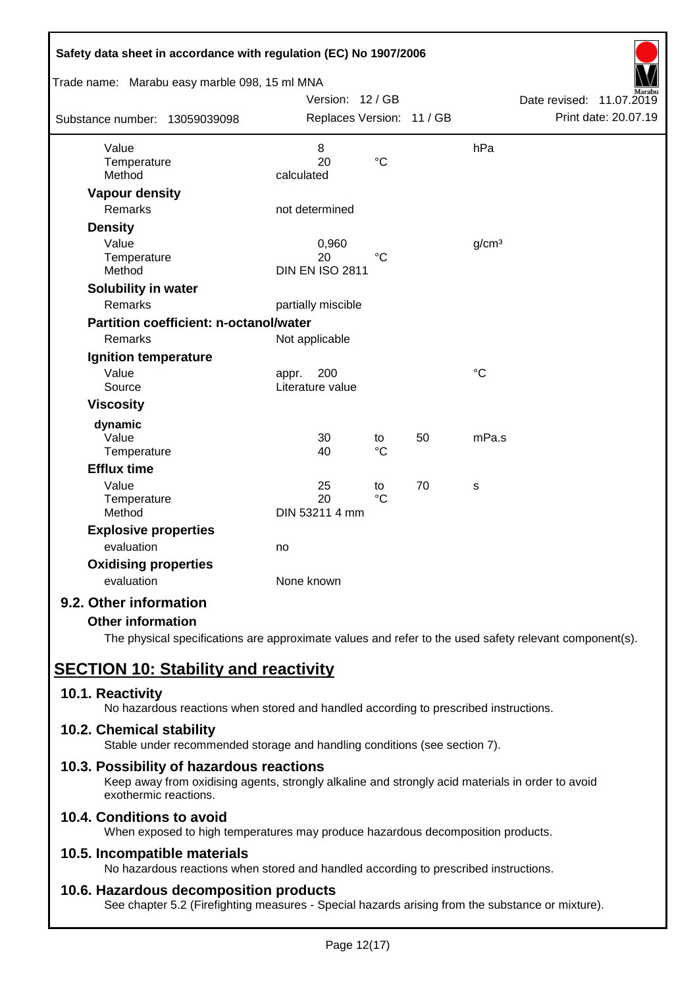| Safety data sheet in accordance with regulation (EC) No 1907/2006 |                           |                 |    |                   |                             |
|-------------------------------------------------------------------|---------------------------|-----------------|----|-------------------|-----------------------------|
| Trade name: Marabu easy marble 098, 15 ml MNA                     |                           |                 |    |                   |                             |
|                                                                   | Version: 12 / GB          |                 |    |                   | Date revised:<br>11.07.2019 |
| Substance number: 13059039098                                     | Replaces Version: 11 / GB |                 |    |                   | Print date: 20.07.19        |
| Value                                                             | 8                         |                 |    | hPa               |                             |
| Temperature                                                       | 20                        | $\rm ^{\circ}C$ |    |                   |                             |
| Method                                                            | calculated                |                 |    |                   |                             |
| <b>Vapour density</b>                                             |                           |                 |    |                   |                             |
| <b>Remarks</b>                                                    | not determined            |                 |    |                   |                             |
| <b>Density</b>                                                    |                           |                 |    |                   |                             |
| Value                                                             | 0,960                     |                 |    | g/cm <sup>3</sup> |                             |
| Temperature                                                       | 20                        | $^{\circ}C$     |    |                   |                             |
| Method                                                            | <b>DIN EN ISO 2811</b>    |                 |    |                   |                             |
| Solubility in water                                               |                           |                 |    |                   |                             |
| Remarks                                                           | partially miscible        |                 |    |                   |                             |
| <b>Partition coefficient: n-octanol/water</b>                     |                           |                 |    |                   |                             |
| Remarks                                                           | Not applicable            |                 |    |                   |                             |
| Ignition temperature                                              |                           |                 |    |                   |                             |
| Value                                                             | 200<br>appr.              |                 |    | $\rm ^{\circ}C$   |                             |
| Source                                                            | Literature value          |                 |    |                   |                             |
| <b>Viscosity</b>                                                  |                           |                 |    |                   |                             |
| dynamic                                                           |                           |                 |    |                   |                             |
| Value                                                             | 30                        | to              | 50 | mPa.s             |                             |
| Temperature                                                       | 40                        | $\rm ^{\circ}C$ |    |                   |                             |
| <b>Efflux time</b>                                                |                           |                 |    |                   |                             |
| Value                                                             | 25                        | to              | 70 | S                 |                             |
| Temperature                                                       | 20                        | $\rm ^{\circ}C$ |    |                   |                             |
| Method                                                            | DIN 53211 4 mm            |                 |    |                   |                             |
| <b>Explosive properties</b>                                       |                           |                 |    |                   |                             |
| evaluation                                                        | no                        |                 |    |                   |                             |
| <b>Oxidising properties</b>                                       |                           |                 |    |                   |                             |
| evaluation                                                        | None known                |                 |    |                   |                             |
| 9.2. Other information                                            |                           |                 |    |                   |                             |

## **Other information**

The physical specifications are approximate values and refer to the used safety relevant component(s).

# **SECTION 10: Stability and reactivity**

## **10.1. Reactivity**

No hazardous reactions when stored and handled according to prescribed instructions.

## **10.2. Chemical stability**

Stable under recommended storage and handling conditions (see section 7).

## **10.3. Possibility of hazardous reactions**

Keep away from oxidising agents, strongly alkaline and strongly acid materials in order to avoid exothermic reactions.

## **10.4. Conditions to avoid**

When exposed to high temperatures may produce hazardous decomposition products.

## **10.5. Incompatible materials**

No hazardous reactions when stored and handled according to prescribed instructions.

## **10.6. Hazardous decomposition products**

See chapter 5.2 (Firefighting measures - Special hazards arising from the substance or mixture).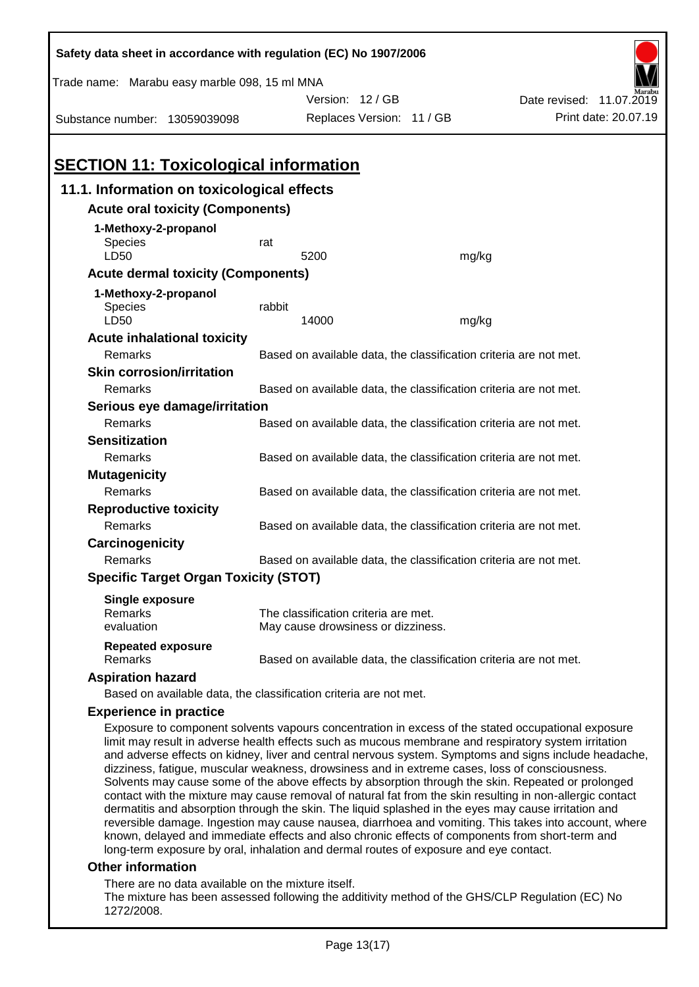| Safety data sheet in accordance with regulation (EC) No 1907/2006                                                                                                                                                                                                                                                                                                                                                                                                                                                                                                                                                                                                                                                                                                                                                                                       |                                                                   |                                                                            |       |                          |  |  |
|---------------------------------------------------------------------------------------------------------------------------------------------------------------------------------------------------------------------------------------------------------------------------------------------------------------------------------------------------------------------------------------------------------------------------------------------------------------------------------------------------------------------------------------------------------------------------------------------------------------------------------------------------------------------------------------------------------------------------------------------------------------------------------------------------------------------------------------------------------|-------------------------------------------------------------------|----------------------------------------------------------------------------|-------|--------------------------|--|--|
| Trade name: Marabu easy marble 098, 15 ml MNA                                                                                                                                                                                                                                                                                                                                                                                                                                                                                                                                                                                                                                                                                                                                                                                                           |                                                                   |                                                                            |       |                          |  |  |
|                                                                                                                                                                                                                                                                                                                                                                                                                                                                                                                                                                                                                                                                                                                                                                                                                                                         |                                                                   | Version: 12 / GB                                                           |       | Date revised: 11.07.2019 |  |  |
| Substance number: 13059039098                                                                                                                                                                                                                                                                                                                                                                                                                                                                                                                                                                                                                                                                                                                                                                                                                           |                                                                   | Replaces Version: 11 / GB                                                  |       | Print date: 20.07.19     |  |  |
|                                                                                                                                                                                                                                                                                                                                                                                                                                                                                                                                                                                                                                                                                                                                                                                                                                                         |                                                                   |                                                                            |       |                          |  |  |
| <b>SECTION 11: Toxicological information</b>                                                                                                                                                                                                                                                                                                                                                                                                                                                                                                                                                                                                                                                                                                                                                                                                            |                                                                   |                                                                            |       |                          |  |  |
| 11.1. Information on toxicological effects                                                                                                                                                                                                                                                                                                                                                                                                                                                                                                                                                                                                                                                                                                                                                                                                              |                                                                   |                                                                            |       |                          |  |  |
| <b>Acute oral toxicity (Components)</b>                                                                                                                                                                                                                                                                                                                                                                                                                                                                                                                                                                                                                                                                                                                                                                                                                 |                                                                   |                                                                            |       |                          |  |  |
| 1-Methoxy-2-propanol<br><b>Species</b>                                                                                                                                                                                                                                                                                                                                                                                                                                                                                                                                                                                                                                                                                                                                                                                                                  | rat                                                               |                                                                            |       |                          |  |  |
| LD50                                                                                                                                                                                                                                                                                                                                                                                                                                                                                                                                                                                                                                                                                                                                                                                                                                                    |                                                                   | 5200                                                                       | mg/kg |                          |  |  |
| <b>Acute dermal toxicity (Components)</b>                                                                                                                                                                                                                                                                                                                                                                                                                                                                                                                                                                                                                                                                                                                                                                                                               |                                                                   |                                                                            |       |                          |  |  |
| 1-Methoxy-2-propanol                                                                                                                                                                                                                                                                                                                                                                                                                                                                                                                                                                                                                                                                                                                                                                                                                                    |                                                                   |                                                                            |       |                          |  |  |
| Species<br>LD50                                                                                                                                                                                                                                                                                                                                                                                                                                                                                                                                                                                                                                                                                                                                                                                                                                         | rabbit                                                            | 14000                                                                      | mg/kg |                          |  |  |
| <b>Acute inhalational toxicity</b>                                                                                                                                                                                                                                                                                                                                                                                                                                                                                                                                                                                                                                                                                                                                                                                                                      |                                                                   |                                                                            |       |                          |  |  |
| Remarks                                                                                                                                                                                                                                                                                                                                                                                                                                                                                                                                                                                                                                                                                                                                                                                                                                                 |                                                                   | Based on available data, the classification criteria are not met.          |       |                          |  |  |
| <b>Skin corrosion/irritation</b>                                                                                                                                                                                                                                                                                                                                                                                                                                                                                                                                                                                                                                                                                                                                                                                                                        |                                                                   |                                                                            |       |                          |  |  |
| Remarks                                                                                                                                                                                                                                                                                                                                                                                                                                                                                                                                                                                                                                                                                                                                                                                                                                                 |                                                                   | Based on available data, the classification criteria are not met.          |       |                          |  |  |
| Serious eye damage/irritation                                                                                                                                                                                                                                                                                                                                                                                                                                                                                                                                                                                                                                                                                                                                                                                                                           |                                                                   |                                                                            |       |                          |  |  |
| Remarks                                                                                                                                                                                                                                                                                                                                                                                                                                                                                                                                                                                                                                                                                                                                                                                                                                                 |                                                                   | Based on available data, the classification criteria are not met.          |       |                          |  |  |
| <b>Sensitization</b>                                                                                                                                                                                                                                                                                                                                                                                                                                                                                                                                                                                                                                                                                                                                                                                                                                    |                                                                   |                                                                            |       |                          |  |  |
| Remarks                                                                                                                                                                                                                                                                                                                                                                                                                                                                                                                                                                                                                                                                                                                                                                                                                                                 | Based on available data, the classification criteria are not met. |                                                                            |       |                          |  |  |
| <b>Mutagenicity</b>                                                                                                                                                                                                                                                                                                                                                                                                                                                                                                                                                                                                                                                                                                                                                                                                                                     |                                                                   |                                                                            |       |                          |  |  |
| Remarks                                                                                                                                                                                                                                                                                                                                                                                                                                                                                                                                                                                                                                                                                                                                                                                                                                                 | Based on available data, the classification criteria are not met. |                                                                            |       |                          |  |  |
| <b>Reproductive toxicity</b>                                                                                                                                                                                                                                                                                                                                                                                                                                                                                                                                                                                                                                                                                                                                                                                                                            |                                                                   |                                                                            |       |                          |  |  |
| Remarks                                                                                                                                                                                                                                                                                                                                                                                                                                                                                                                                                                                                                                                                                                                                                                                                                                                 | Based on available data, the classification criteria are not met. |                                                                            |       |                          |  |  |
| Carcinogenicity                                                                                                                                                                                                                                                                                                                                                                                                                                                                                                                                                                                                                                                                                                                                                                                                                                         |                                                                   |                                                                            |       |                          |  |  |
| Remarks                                                                                                                                                                                                                                                                                                                                                                                                                                                                                                                                                                                                                                                                                                                                                                                                                                                 |                                                                   | Based on available data, the classification criteria are not met.          |       |                          |  |  |
| <b>Specific Target Organ Toxicity (STOT)</b>                                                                                                                                                                                                                                                                                                                                                                                                                                                                                                                                                                                                                                                                                                                                                                                                            |                                                                   |                                                                            |       |                          |  |  |
| Single exposure                                                                                                                                                                                                                                                                                                                                                                                                                                                                                                                                                                                                                                                                                                                                                                                                                                         |                                                                   |                                                                            |       |                          |  |  |
| Remarks<br>evaluation                                                                                                                                                                                                                                                                                                                                                                                                                                                                                                                                                                                                                                                                                                                                                                                                                                   |                                                                   | The classification criteria are met.<br>May cause drowsiness or dizziness. |       |                          |  |  |
|                                                                                                                                                                                                                                                                                                                                                                                                                                                                                                                                                                                                                                                                                                                                                                                                                                                         |                                                                   |                                                                            |       |                          |  |  |
| <b>Repeated exposure</b><br>Remarks                                                                                                                                                                                                                                                                                                                                                                                                                                                                                                                                                                                                                                                                                                                                                                                                                     |                                                                   | Based on available data, the classification criteria are not met.          |       |                          |  |  |
| <b>Aspiration hazard</b>                                                                                                                                                                                                                                                                                                                                                                                                                                                                                                                                                                                                                                                                                                                                                                                                                                |                                                                   |                                                                            |       |                          |  |  |
| Based on available data, the classification criteria are not met.                                                                                                                                                                                                                                                                                                                                                                                                                                                                                                                                                                                                                                                                                                                                                                                       |                                                                   |                                                                            |       |                          |  |  |
| <b>Experience in practice</b>                                                                                                                                                                                                                                                                                                                                                                                                                                                                                                                                                                                                                                                                                                                                                                                                                           |                                                                   |                                                                            |       |                          |  |  |
| Exposure to component solvents vapours concentration in excess of the stated occupational exposure<br>limit may result in adverse health effects such as mucous membrane and respiratory system irritation<br>and adverse effects on kidney, liver and central nervous system. Symptoms and signs include headache,<br>dizziness, fatigue, muscular weakness, drowsiness and in extreme cases, loss of consciousness.<br>Solvents may cause some of the above effects by absorption through the skin. Repeated or prolonged<br>contact with the mixture may cause removal of natural fat from the skin resulting in non-allergic contact<br>dermatitis and absorption through the skin. The liquid splashed in the eyes may cause irritation and<br>overgible democre Ingestion may cause nauges, diarrhoos and vemiting. This takes into secount where |                                                                   |                                                                            |       |                          |  |  |

reversible damage. Ingestion may cause nausea, diarrhoea and vomiting. This takes into account, where known, delayed and immediate effects and also chronic effects of components from short-term and long-term exposure by oral, inhalation and dermal routes of exposure and eye contact.

## **Other information**

There are no data available on the mixture itself.

The mixture has been assessed following the additivity method of the GHS/CLP Regulation (EC) No 1272/2008.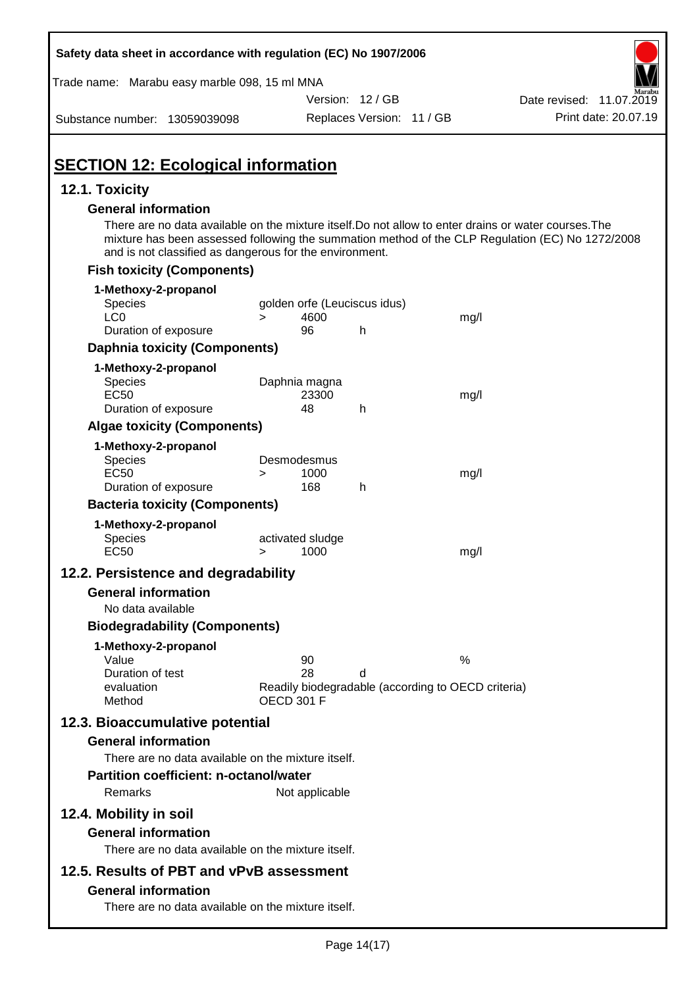| Safety data sheet in accordance with regulation (EC) No 1907/2006                                                                                                                              |                                                                                     |                           |      |                                                                                                  |
|------------------------------------------------------------------------------------------------------------------------------------------------------------------------------------------------|-------------------------------------------------------------------------------------|---------------------------|------|--------------------------------------------------------------------------------------------------|
| Trade name: Marabu easy marble 098, 15 ml MNA                                                                                                                                                  |                                                                                     |                           |      |                                                                                                  |
|                                                                                                                                                                                                |                                                                                     | Version: 12 / GB          |      | Date revised: 11.07.2019                                                                         |
| Substance number: 13059039098                                                                                                                                                                  |                                                                                     | Replaces Version: 11 / GB |      | Print date: 20.07.19                                                                             |
| <b>SECTION 12: Ecological information</b>                                                                                                                                                      |                                                                                     |                           |      |                                                                                                  |
| 12.1. Toxicity                                                                                                                                                                                 |                                                                                     |                           |      |                                                                                                  |
| <b>General information</b><br>There are no data available on the mixture itself. Do not allow to enter drains or water courses. The<br>and is not classified as dangerous for the environment. |                                                                                     |                           |      | mixture has been assessed following the summation method of the CLP Regulation (EC) No 1272/2008 |
| <b>Fish toxicity (Components)</b>                                                                                                                                                              |                                                                                     |                           |      |                                                                                                  |
| 1-Methoxy-2-propanol<br>Species<br>LC <sub>0</sub>                                                                                                                                             | golden orfe (Leuciscus idus)<br>4600<br>$\geq$                                      |                           | mg/l |                                                                                                  |
| Duration of exposure                                                                                                                                                                           | 96                                                                                  | h                         |      |                                                                                                  |
| <b>Daphnia toxicity (Components)</b>                                                                                                                                                           |                                                                                     |                           |      |                                                                                                  |
| 1-Methoxy-2-propanol<br><b>Species</b><br><b>EC50</b><br>Duration of exposure                                                                                                                  | Daphnia magna<br>23300<br>48                                                        | h                         | mg/l |                                                                                                  |
| <b>Algae toxicity (Components)</b>                                                                                                                                                             |                                                                                     |                           |      |                                                                                                  |
| 1-Methoxy-2-propanol<br>Species<br><b>EC50</b><br>Duration of exposure                                                                                                                         | Desmodesmus<br>1000<br>$\geq$<br>168                                                | h                         | mg/l |                                                                                                  |
| <b>Bacteria toxicity (Components)</b>                                                                                                                                                          |                                                                                     |                           |      |                                                                                                  |
| 1-Methoxy-2-propanol<br>Species<br><b>EC50</b>                                                                                                                                                 | activated sludge<br>1000<br>>                                                       |                           | mg/l |                                                                                                  |
| 12.2. Persistence and degradability                                                                                                                                                            |                                                                                     |                           |      |                                                                                                  |
| <b>General information</b>                                                                                                                                                                     |                                                                                     |                           |      |                                                                                                  |
| No data available                                                                                                                                                                              |                                                                                     |                           |      |                                                                                                  |
| <b>Biodegradability (Components)</b>                                                                                                                                                           |                                                                                     |                           |      |                                                                                                  |
| 1-Methoxy-2-propanol<br>Value<br>Duration of test<br>evaluation<br>Method                                                                                                                      | 90<br>28<br>Readily biodegradable (according to OECD criteria)<br><b>OECD 301 F</b> | d                         | %    |                                                                                                  |
| 12.3. Bioaccumulative potential<br><b>General information</b>                                                                                                                                  |                                                                                     |                           |      |                                                                                                  |
| There are no data available on the mixture itself.                                                                                                                                             |                                                                                     |                           |      |                                                                                                  |
| <b>Partition coefficient: n-octanol/water</b>                                                                                                                                                  |                                                                                     |                           |      |                                                                                                  |
| Remarks                                                                                                                                                                                        | Not applicable                                                                      |                           |      |                                                                                                  |
| 12.4. Mobility in soil                                                                                                                                                                         |                                                                                     |                           |      |                                                                                                  |
| <b>General information</b><br>There are no data available on the mixture itself.                                                                                                               |                                                                                     |                           |      |                                                                                                  |
| 12.5. Results of PBT and vPvB assessment                                                                                                                                                       |                                                                                     |                           |      |                                                                                                  |
| <b>General information</b><br>There are no data available on the mixture itself.                                                                                                               |                                                                                     |                           |      |                                                                                                  |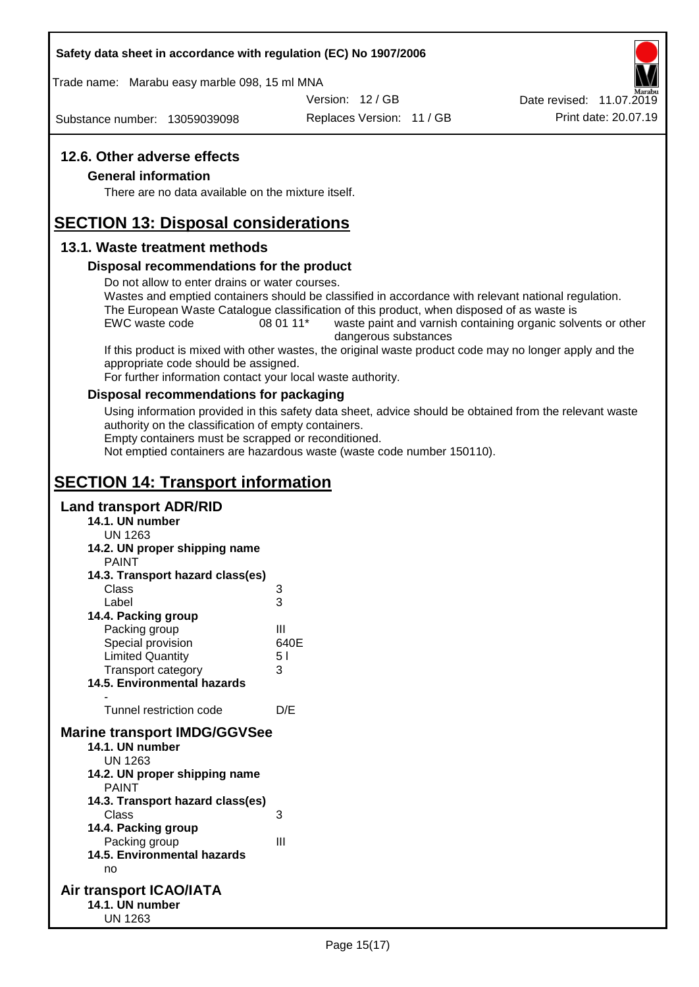#### **Safety data sheet in accordance with regulation (EC) No 1907/2006**

Trade name: Marabu easy marble 098, 15 ml MNA

Version: 12 / GB

Substance number: 13059039098

Replaces Version: 11 / GB Print date: 20.07.19 Date revised: 11.07.2019

## **12.6. Other adverse effects**

#### **General information**

There are no data available on the mixture itself.

# **SECTION 13: Disposal considerations**

## **13.1. Waste treatment methods**

#### **Disposal recommendations for the product**

Do not allow to enter drains or water courses.

Wastes and emptied containers should be classified in accordance with relevant national regulation. The European Waste Catalogue classification of this product, when disposed of as waste is

EWC waste code 08 01 11<sup>\*</sup> waste paint and varnish containing organic solvents or other dangerous substances

If this product is mixed with other wastes, the original waste product code may no longer apply and the appropriate code should be assigned.

For further information contact your local waste authority.

#### **Disposal recommendations for packaging**

Using information provided in this safety data sheet, advice should be obtained from the relevant waste authority on the classification of empty containers.

Empty containers must be scrapped or reconditioned.

Not emptied containers are hazardous waste (waste code number 150110).

# **SECTION 14: Transport information**

## **Land transport ADR/RID**

- **14.1. UN number**
	- UN 1263
- **14.2. UN proper shipping name**

| <b>PAINT</b>                        |      |
|-------------------------------------|------|
| 14.3. Transport hazard class(es)    |      |
| Class                               | 3    |
| Label                               | 3    |
| 14.4. Packing group                 |      |
| Packing group                       | Ш    |
| Special provision                   | 640E |
| <b>Limited Quantity</b>             | 51   |
| Transport category                  | 3    |
| <b>14.5. Environmental hazards</b>  |      |
|                                     |      |
| Tunnel restriction code             | D/E  |
| <b>Marine transport IMDG/GGVSee</b> |      |
| 14.1. UN number                     |      |
| UN 1263                             |      |
| 14.2. UN proper shipping name       |      |
| <b>PAINT</b>                        |      |
| 14.3. Transport hazard class(es)    |      |
| Class                               | 3    |
| 14.4. Packing group                 |      |
| Dooking aroun                       | ш    |

- Packing group III **14.5. Environmental hazards** no
- **Air transport ICAO/IATA 14.1. UN number** UN 1263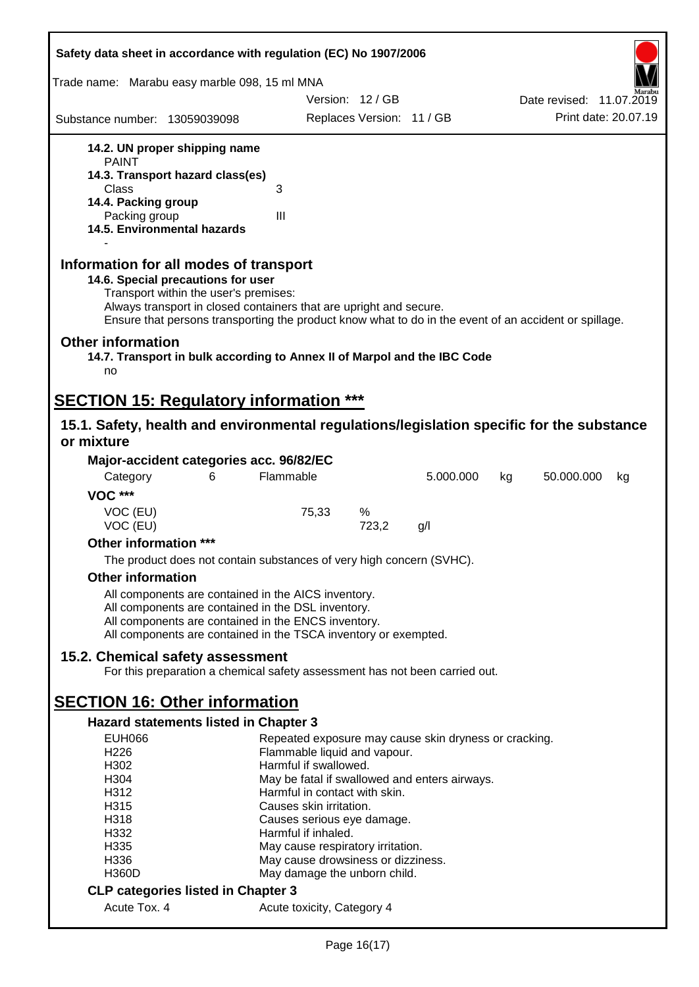| Safety data sheet in accordance with regulation (EC) No 1907/2006                                                                                                                                                                                                                                    |                                                          |                           |           |    |                          |    |
|------------------------------------------------------------------------------------------------------------------------------------------------------------------------------------------------------------------------------------------------------------------------------------------------------|----------------------------------------------------------|---------------------------|-----------|----|--------------------------|----|
| Trade name: Marabu easy marble 098, 15 ml MNA                                                                                                                                                                                                                                                        |                                                          |                           |           |    |                          |    |
|                                                                                                                                                                                                                                                                                                      |                                                          | Version: 12/GB            |           |    | Date revised: 11.07.2019 |    |
| Substance number: 13059039098                                                                                                                                                                                                                                                                        |                                                          | Replaces Version: 11 / GB |           |    | Print date: 20.07.19     |    |
| 14.2. UN proper shipping name<br><b>PAINT</b>                                                                                                                                                                                                                                                        |                                                          |                           |           |    |                          |    |
| 14.3. Transport hazard class(es)                                                                                                                                                                                                                                                                     |                                                          |                           |           |    |                          |    |
| Class<br>14.4. Packing group                                                                                                                                                                                                                                                                         | 3                                                        |                           |           |    |                          |    |
| Packing group                                                                                                                                                                                                                                                                                        | Ш                                                        |                           |           |    |                          |    |
| 14.5. Environmental hazards                                                                                                                                                                                                                                                                          |                                                          |                           |           |    |                          |    |
| Information for all modes of transport<br>14.6. Special precautions for user<br>Transport within the user's premises:<br>Always transport in closed containers that are upright and secure.<br>Ensure that persons transporting the product know what to do in the event of an accident or spillage. |                                                          |                           |           |    |                          |    |
| <b>Other information</b><br>14.7. Transport in bulk according to Annex II of Marpol and the IBC Code<br>no                                                                                                                                                                                           |                                                          |                           |           |    |                          |    |
| <b>SECTION 15: Regulatory information ***</b>                                                                                                                                                                                                                                                        |                                                          |                           |           |    |                          |    |
| 15.1. Safety, health and environmental regulations/legislation specific for the substance                                                                                                                                                                                                            |                                                          |                           |           |    |                          |    |
| or mixture                                                                                                                                                                                                                                                                                           |                                                          |                           |           |    |                          |    |
| Major-accident categories acc. 96/82/EC                                                                                                                                                                                                                                                              |                                                          |                           |           |    |                          |    |
| Category<br>6                                                                                                                                                                                                                                                                                        | Flammable                                                |                           | 5.000.000 | kg | 50.000.000               | kg |
| <b>VOC ***</b>                                                                                                                                                                                                                                                                                       |                                                          |                           |           |    |                          |    |
| VOC (EU)<br>VOC (EU)                                                                                                                                                                                                                                                                                 | 75,33                                                    | %<br>723,2                | g/l       |    |                          |    |
| Other information ***                                                                                                                                                                                                                                                                                |                                                          |                           |           |    |                          |    |
| The product does not contain substances of very high concern (SVHC).                                                                                                                                                                                                                                 |                                                          |                           |           |    |                          |    |
| <b>Other information</b>                                                                                                                                                                                                                                                                             |                                                          |                           |           |    |                          |    |
| All components are contained in the AICS inventory.                                                                                                                                                                                                                                                  |                                                          |                           |           |    |                          |    |
| All components are contained in the DSL inventory.                                                                                                                                                                                                                                                   |                                                          |                           |           |    |                          |    |
| All components are contained in the ENCS inventory.                                                                                                                                                                                                                                                  |                                                          |                           |           |    |                          |    |
| All components are contained in the TSCA inventory or exempted.                                                                                                                                                                                                                                      |                                                          |                           |           |    |                          |    |
| 15.2. Chemical safety assessment<br>For this preparation a chemical safety assessment has not been carried out.                                                                                                                                                                                      |                                                          |                           |           |    |                          |    |
| <b>SECTION 16: Other information</b>                                                                                                                                                                                                                                                                 |                                                          |                           |           |    |                          |    |
| <b>Hazard statements listed in Chapter 3</b>                                                                                                                                                                                                                                                         |                                                          |                           |           |    |                          |    |
| <b>EUH066</b>                                                                                                                                                                                                                                                                                        | Repeated exposure may cause skin dryness or cracking.    |                           |           |    |                          |    |
| H <sub>226</sub>                                                                                                                                                                                                                                                                                     | Flammable liquid and vapour.                             |                           |           |    |                          |    |
| H302                                                                                                                                                                                                                                                                                                 | Harmful if swallowed.                                    |                           |           |    |                          |    |
| H304                                                                                                                                                                                                                                                                                                 | May be fatal if swallowed and enters airways.            |                           |           |    |                          |    |
| H312<br>H315                                                                                                                                                                                                                                                                                         | Harmful in contact with skin.<br>Causes skin irritation. |                           |           |    |                          |    |
| H318                                                                                                                                                                                                                                                                                                 | Causes serious eye damage.                               |                           |           |    |                          |    |
| H332                                                                                                                                                                                                                                                                                                 | Harmful if inhaled.                                      |                           |           |    |                          |    |
| H335                                                                                                                                                                                                                                                                                                 | May cause respiratory irritation.                        |                           |           |    |                          |    |
| H336                                                                                                                                                                                                                                                                                                 | May cause drowsiness or dizziness.                       |                           |           |    |                          |    |
| <b>H360D</b>                                                                                                                                                                                                                                                                                         | May damage the unborn child.                             |                           |           |    |                          |    |
| <b>CLP categories listed in Chapter 3</b><br>Acute Tox. 4                                                                                                                                                                                                                                            | Acute toxicity, Category 4                               |                           |           |    |                          |    |
|                                                                                                                                                                                                                                                                                                      |                                                          |                           |           |    |                          |    |